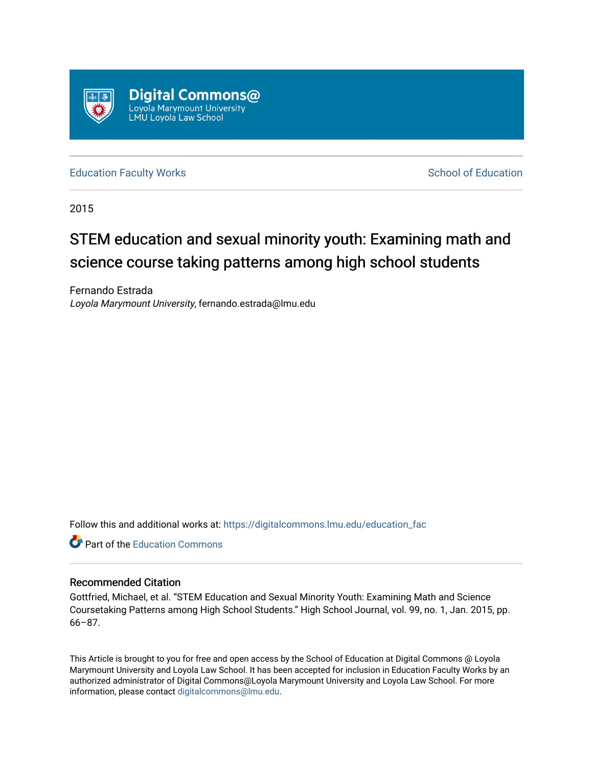

[Education Faculty Works](https://digitalcommons.lmu.edu/education_fac) **Education** School of Education

2015

# STEM education and sexual minority youth: Examining math and science course taking patterns among high school students

Fernando Estrada Loyola Marymount University, fernando.estrada@lmu.edu

Follow this and additional works at: [https://digitalcommons.lmu.edu/education\\_fac](https://digitalcommons.lmu.edu/education_fac?utm_source=digitalcommons.lmu.edu%2Feducation_fac%2F12&utm_medium=PDF&utm_campaign=PDFCoverPages) 

**C** Part of the [Education Commons](http://network.bepress.com/hgg/discipline/784?utm_source=digitalcommons.lmu.edu%2Feducation_fac%2F12&utm_medium=PDF&utm_campaign=PDFCoverPages)

# Recommended Citation

Gottfried, Michael, et al. "STEM Education and Sexual Minority Youth: Examining Math and Science Coursetaking Patterns among High School Students." High School Journal, vol. 99, no. 1, Jan. 2015, pp. 66–87.

This Article is brought to you for free and open access by the School of Education at Digital Commons @ Loyola Marymount University and Loyola Law School. It has been accepted for inclusion in Education Faculty Works by an authorized administrator of Digital Commons@Loyola Marymount University and Loyola Law School. For more information, please contact [digitalcommons@lmu.edu.](mailto:digitalcommons@lmu.edu)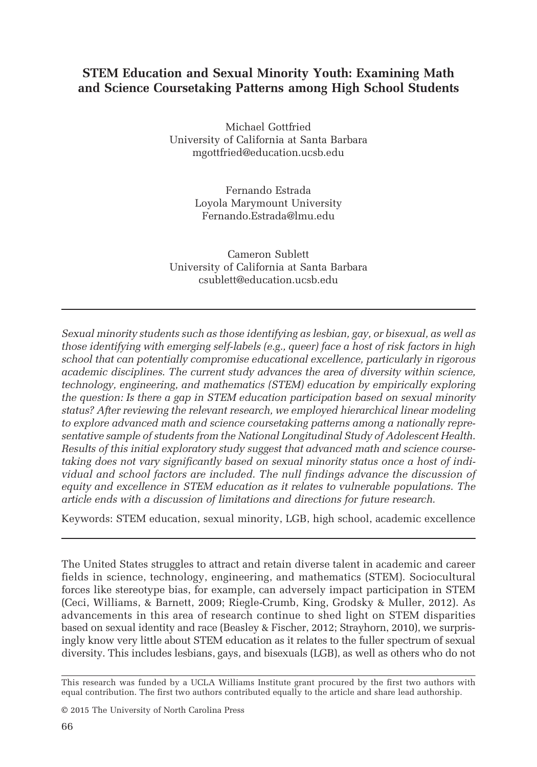# STEM Education and Sexual Minority Youth: Examining Math and Science Coursetaking Patterns among High School Students

Michael Gottfried University of California at Santa Barbara mgottfried@education.ucsb.edu

> Fernando Estrada Loyola Marymount University Fernando.Estrada@lmu.edu

Cameron Sublett University of California at Santa Barbara csublett@education.ucsb.edu

Sexual minority students such as those identifying as lesbian, gay, or bisexual, as well as those identifying with emerging self-labels (e.g., queer) face a host of risk factors in high school that can potentially compromise educational excellence, particularly in rigorous academic disciplines. The current study advances the area of diversity within science, technology, engineering, and mathematics (STEM) education by empirically exploring the question: Is there a gap in STEM education participation based on sexual minority status? After reviewing the relevant research, we employed hierarchical linear modeling to explore advanced math and science coursetaking patterns among a nationally representative sample of students from the National Longitudinal Study of Adolescent Health. Results of this initial exploratory study suggest that advanced math and science coursetaking does not vary significantly based on sexual minority status once a host of individual and school factors are included. The null findings advance the discussion of equity and excellence in STEM education as it relates to vulnerable populations. The article ends with a discussion of limitations and directions for future research.

Keywords: STEM education, sexual minority, LGB, high school, academic excellence

The United States struggles to attract and retain diverse talent in academic and career fields in science, technology, engineering, and mathematics (STEM). Sociocultural forces like stereotype bias, for example, can adversely impact participation in STEM (Ceci, Williams, & Barnett, 2009; Riegle-Crumb, King, Grodsky & Muller, 2012). As advancements in this area of research continue to shed light on STEM disparities based on sexual identity and race (Beasley & Fischer, 2012; Strayhorn, 2010), we surprisingly know very little about STEM education as it relates to the fuller spectrum of sexual diversity. This includes lesbians, gays, and bisexuals (LGB), as well as others who do not

© 2015 The University of North Carolina Press

This research was funded by a UCLA Williams Institute grant procured by the first two authors with equal contribution. The first two authors contributed equally to the article and share lead authorship.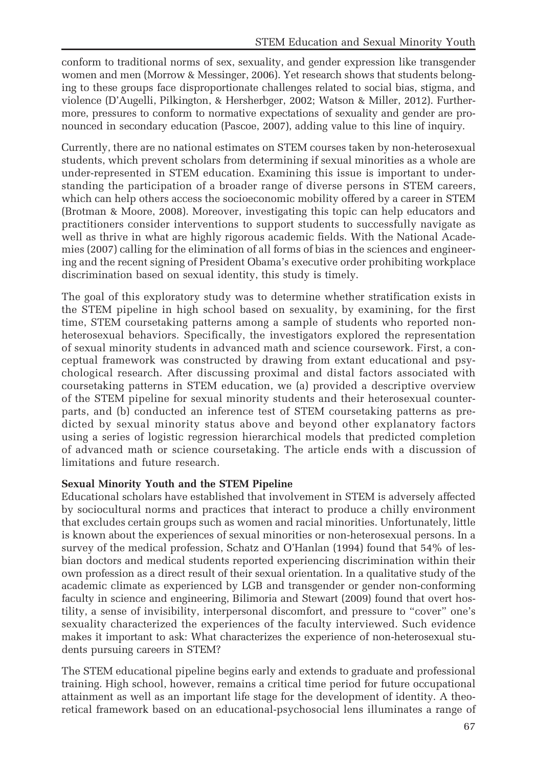conform to traditional norms of sex, sexuality, and gender expression like transgender women and men (Morrow & Messinger, 2006). Yet research shows that students belonging to these groups face disproportionate challenges related to social bias, stigma, and violence (D'Augelli, Pilkington, & Hersherbger, 2002; Watson & Miller, 2012). Furthermore, pressures to conform to normative expectations of sexuality and gender are pronounced in secondary education (Pascoe, 2007), adding value to this line of inquiry.

Currently, there are no national estimates on STEM courses taken by non-heterosexual students, which prevent scholars from determining if sexual minorities as a whole are under-represented in STEM education. Examining this issue is important to understanding the participation of a broader range of diverse persons in STEM careers, which can help others access the socioeconomic mobility offered by a career in STEM (Brotman & Moore, 2008). Moreover, investigating this topic can help educators and practitioners consider interventions to support students to successfully navigate as well as thrive in what are highly rigorous academic fields. With the National Academies (2007) calling for the elimination of all forms of bias in the sciences and engineering and the recent signing of President Obama's executive order prohibiting workplace discrimination based on sexual identity, this study is timely.

The goal of this exploratory study was to determine whether stratification exists in the STEM pipeline in high school based on sexuality, by examining, for the first time, STEM coursetaking patterns among a sample of students who reported nonheterosexual behaviors. Specifically, the investigators explored the representation of sexual minority students in advanced math and science coursework. First, a conceptual framework was constructed by drawing from extant educational and psychological research. After discussing proximal and distal factors associated with coursetaking patterns in STEM education, we (a) provided a descriptive overview of the STEM pipeline for sexual minority students and their heterosexual counterparts, and (b) conducted an inference test of STEM coursetaking patterns as predicted by sexual minority status above and beyond other explanatory factors using a series of logistic regression hierarchical models that predicted completion of advanced math or science coursetaking. The article ends with a discussion of limitations and future research.

## Sexual Minority Youth and the STEM Pipeline

Educational scholars have established that involvement in STEM is adversely affected by sociocultural norms and practices that interact to produce a chilly environment that excludes certain groups such as women and racial minorities. Unfortunately, little is known about the experiences of sexual minorities or non-heterosexual persons. In a survey of the medical profession, Schatz and O'Hanlan (1994) found that 54% of lesbian doctors and medical students reported experiencing discrimination within their own profession as a direct result of their sexual orientation. In a qualitative study of the academic climate as experienced by LGB and transgender or gender non-conforming faculty in science and engineering, Bilimoria and Stewart (2009) found that overt hostility, a sense of invisibility, interpersonal discomfort, and pressure to "cover" one's sexuality characterized the experiences of the faculty interviewed. Such evidence makes it important to ask: What characterizes the experience of non-heterosexual students pursuing careers in STEM?

The STEM educational pipeline begins early and extends to graduate and professional training. High school, however, remains a critical time period for future occupational attainment as well as an important life stage for the development of identity. A theoretical framework based on an educational-psychosocial lens illuminates a range of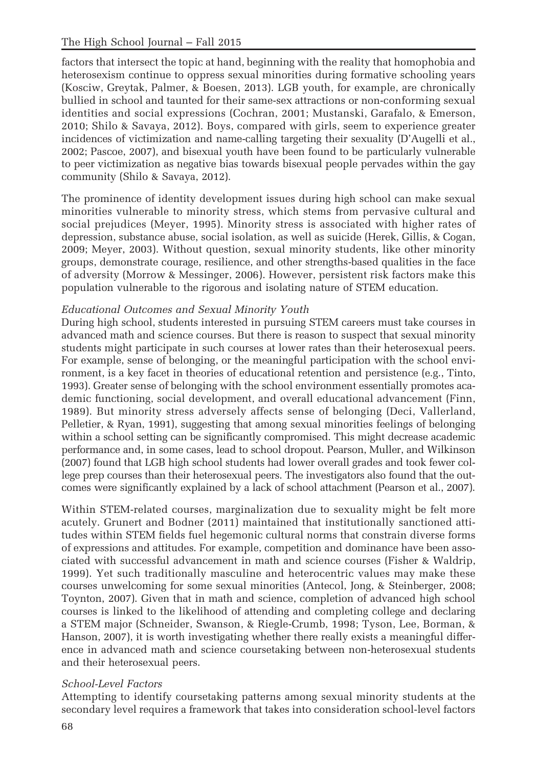factors that intersect the topic at hand, beginning with the reality that homophobia and heterosexism continue to oppress sexual minorities during formative schooling years (Kosciw, Greytak, Palmer, & Boesen, 2013). LGB youth, for example, are chronically bullied in school and taunted for their same-sex attractions or non-conforming sexual identities and social expressions (Cochran, 2001; Mustanski, Garafalo, & Emerson, 2010; Shilo & Savaya, 2012). Boys, compared with girls, seem to experience greater incidences of victimization and name-calling targeting their sexuality (D'Augelli et al., 2002; Pascoe, 2007), and bisexual youth have been found to be particularly vulnerable to peer victimization as negative bias towards bisexual people pervades within the gay community (Shilo & Savaya, 2012).

The prominence of identity development issues during high school can make sexual minorities vulnerable to minority stress, which stems from pervasive cultural and social prejudices (Meyer, 1995). Minority stress is associated with higher rates of depression, substance abuse, social isolation, as well as suicide (Herek, Gillis, & Cogan, 2009; Meyer, 2003). Without question, sexual minority students, like other minority groups, demonstrate courage, resilience, and other strengths-based qualities in the face of adversity (Morrow & Messinger, 2006). However, persistent risk factors make this population vulnerable to the rigorous and isolating nature of STEM education.

## Educational Outcomes and Sexual Minority Youth

During high school, students interested in pursuing STEM careers must take courses in advanced math and science courses. But there is reason to suspect that sexual minority students might participate in such courses at lower rates than their heterosexual peers. For example, sense of belonging, or the meaningful participation with the school environment, is a key facet in theories of educational retention and persistence (e.g., Tinto, 1993). Greater sense of belonging with the school environment essentially promotes academic functioning, social development, and overall educational advancement (Finn, 1989). But minority stress adversely affects sense of belonging (Deci, Vallerland, Pelletier, & Ryan, 1991), suggesting that among sexual minorities feelings of belonging within a school setting can be significantly compromised. This might decrease academic performance and, in some cases, lead to school dropout. Pearson, Muller, and Wilkinson (2007) found that LGB high school students had lower overall grades and took fewer college prep courses than their heterosexual peers. The investigators also found that the outcomes were significantly explained by a lack of school attachment (Pearson et al., 2007).

Within STEM-related courses, marginalization due to sexuality might be felt more acutely. Grunert and Bodner (2011) maintained that institutionally sanctioned attitudes within STEM fields fuel hegemonic cultural norms that constrain diverse forms of expressions and attitudes. For example, competition and dominance have been associated with successful advancement in math and science courses (Fisher & Waldrip, 1999). Yet such traditionally masculine and heterocentric values may make these courses unwelcoming for some sexual minorities (Antecol, Jong, & Steinberger, 2008; Toynton, 2007). Given that in math and science, completion of advanced high school courses is linked to the likelihood of attending and completing college and declaring a STEM major (Schneider, Swanson, & Riegle-Crumb, 1998; Tyson, Lee, Borman, & Hanson, 2007), it is worth investigating whether there really exists a meaningful difference in advanced math and science coursetaking between non-heterosexual students and their heterosexual peers.

# School-Level Factors

Attempting to identify coursetaking patterns among sexual minority students at the secondary level requires a framework that takes into consideration school-level factors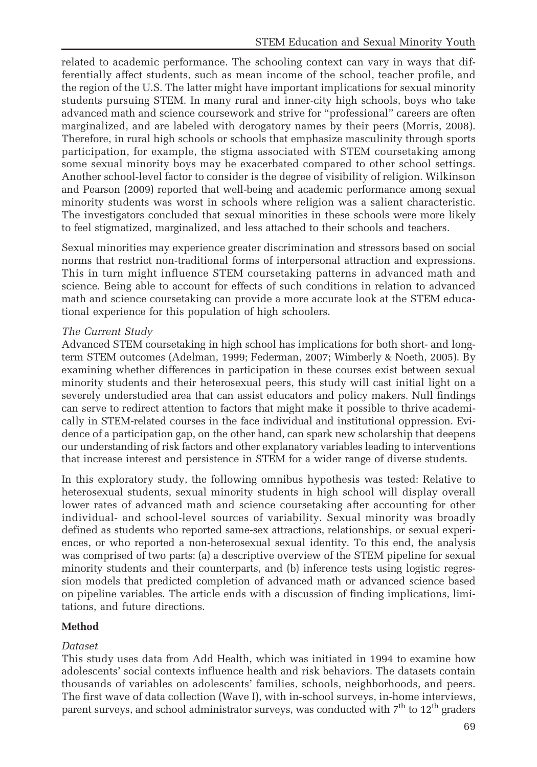related to academic performance. The schooling context can vary in ways that differentially affect students, such as mean income of the school, teacher profile, and the region of the U.S. The latter might have important implications for sexual minority students pursuing STEM. In many rural and inner-city high schools, boys who take advanced math and science coursework and strive for "professional" careers are often marginalized, and are labeled with derogatory names by their peers (Morris, 2008). Therefore, in rural high schools or schools that emphasize masculinity through sports participation, for example, the stigma associated with STEM coursetaking among some sexual minority boys may be exacerbated compared to other school settings. Another school-level factor to consider is the degree of visibility of religion. Wilkinson and Pearson (2009) reported that well-being and academic performance among sexual minority students was worst in schools where religion was a salient characteristic. The investigators concluded that sexual minorities in these schools were more likely to feel stigmatized, marginalized, and less attached to their schools and teachers.

Sexual minorities may experience greater discrimination and stressors based on social norms that restrict non-traditional forms of interpersonal attraction and expressions. This in turn might influence STEM coursetaking patterns in advanced math and science. Being able to account for effects of such conditions in relation to advanced math and science coursetaking can provide a more accurate look at the STEM educational experience for this population of high schoolers.

## The Current Study

Advanced STEM coursetaking in high school has implications for both short- and longterm STEM outcomes (Adelman, 1999; Federman, 2007; Wimberly & Noeth, 2005). By examining whether differences in participation in these courses exist between sexual minority students and their heterosexual peers, this study will cast initial light on a severely understudied area that can assist educators and policy makers. Null findings can serve to redirect attention to factors that might make it possible to thrive academically in STEM-related courses in the face individual and institutional oppression. Evidence of a participation gap, on the other hand, can spark new scholarship that deepens our understanding of risk factors and other explanatory variables leading to interventions that increase interest and persistence in STEM for a wider range of diverse students.

In this exploratory study, the following omnibus hypothesis was tested: Relative to heterosexual students, sexual minority students in high school will display overall lower rates of advanced math and science coursetaking after accounting for other individual- and school-level sources of variability. Sexual minority was broadly defined as students who reported same-sex attractions, relationships, or sexual experiences, or who reported a non-heterosexual sexual identity. To this end, the analysis was comprised of two parts: (a) a descriptive overview of the STEM pipeline for sexual minority students and their counterparts, and (b) inference tests using logistic regression models that predicted completion of advanced math or advanced science based on pipeline variables. The article ends with a discussion of finding implications, limitations, and future directions.

# Method

## Dataset

This study uses data from Add Health, which was initiated in 1994 to examine how adolescents' social contexts influence health and risk behaviors. The datasets contain thousands of variables on adolescents' families, schools, neighborhoods, and peers. The first wave of data collection (Wave I), with in-school surveys, in-home interviews, parent surveys, and school administrator surveys, was conducted with  $7<sup>th</sup>$  to  $12<sup>th</sup>$  graders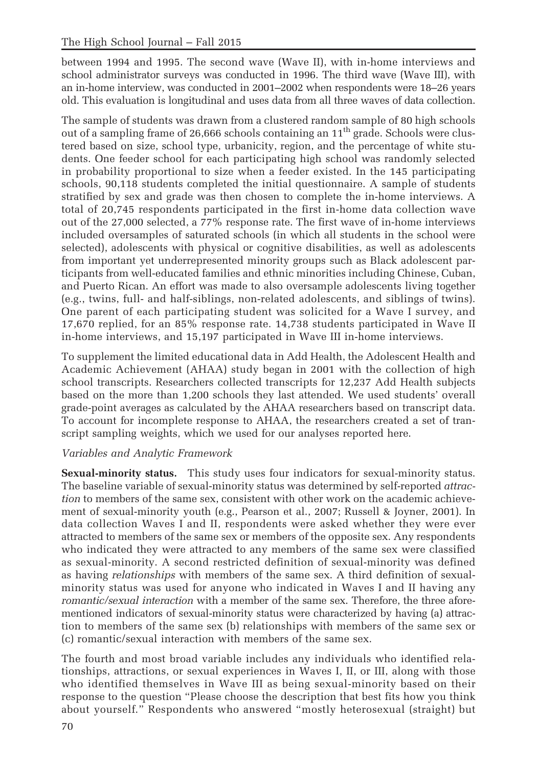between 1994 and 1995. The second wave (Wave II), with in-home interviews and school administrator surveys was conducted in 1996. The third wave (Wave III), with an in-home interview, was conducted in 2001–2002 when respondents were 18–26 years old. This evaluation is longitudinal and uses data from all three waves of data collection.

The sample of students was drawn from a clustered random sample of 80 high schools out of a sampling frame of 26,666 schools containing an 11<sup>th</sup> grade. Schools were clustered based on size, school type, urbanicity, region, and the percentage of white students. One feeder school for each participating high school was randomly selected in probability proportional to size when a feeder existed. In the 145 participating schools, 90,118 students completed the initial questionnaire. A sample of students stratified by sex and grade was then chosen to complete the in-home interviews. A total of 20,745 respondents participated in the first in-home data collection wave out of the 27,000 selected, a 77% response rate. The first wave of in-home interviews included oversamples of saturated schools (in which all students in the school were selected), adolescents with physical or cognitive disabilities, as well as adolescents from important yet underrepresented minority groups such as Black adolescent participants from well-educated families and ethnic minorities including Chinese, Cuban, and Puerto Rican. An effort was made to also oversample adolescents living together (e.g., twins, full- and half-siblings, non-related adolescents, and siblings of twins). One parent of each participating student was solicited for a Wave I survey, and 17,670 replied, for an 85% response rate. 14,738 students participated in Wave II in-home interviews, and 15,197 participated in Wave III in-home interviews.

To supplement the limited educational data in Add Health, the Adolescent Health and Academic Achievement (AHAA) study began in 2001 with the collection of high school transcripts. Researchers collected transcripts for 12,237 Add Health subjects based on the more than 1,200 schools they last attended. We used students' overall grade-point averages as calculated by the AHAA researchers based on transcript data. To account for incomplete response to AHAA, the researchers created a set of transcript sampling weights, which we used for our analyses reported here.

# Variables and Analytic Framework

Sexual-minority status. This study uses four indicators for sexual-minority status. The baseline variable of sexual-minority status was determined by self-reported attraction to members of the same sex, consistent with other work on the academic achievement of sexual-minority youth (e.g., Pearson et al., 2007; Russell & Joyner, 2001). In data collection Waves I and II, respondents were asked whether they were ever attracted to members of the same sex or members of the opposite sex. Any respondents who indicated they were attracted to any members of the same sex were classified as sexual-minority. A second restricted definition of sexual-minority was defined as having relationships with members of the same sex. A third definition of sexualminority status was used for anyone who indicated in Waves I and II having any romantic/sexual interaction with a member of the same sex. Therefore, the three aforementioned indicators of sexual-minority status were characterized by having (a) attraction to members of the same sex (b) relationships with members of the same sex or (c) romantic/sexual interaction with members of the same sex.

The fourth and most broad variable includes any individuals who identified relationships, attractions, or sexual experiences in Waves I, II, or III, along with those who identified themselves in Wave III as being sexual-minority based on their response to the question "Please choose the description that best fits how you think about yourself." Respondents who answered "mostly heterosexual (straight) but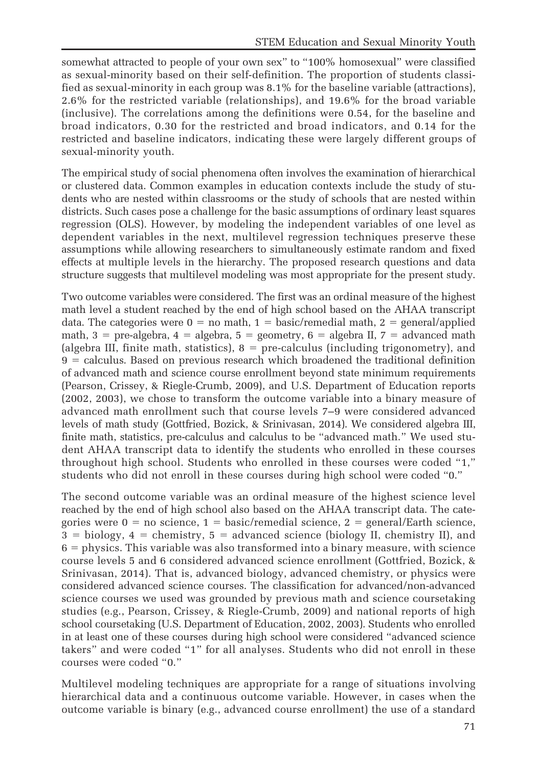somewhat attracted to people of your own sex" to "100% homosexual" were classified as sexual-minority based on their self-definition. The proportion of students classified as sexual-minority in each group was 8.1% for the baseline variable (attractions), 2.6% for the restricted variable (relationships), and 19.6% for the broad variable (inclusive). The correlations among the definitions were 0.54, for the baseline and broad indicators, 0.30 for the restricted and broad indicators, and 0.14 for the restricted and baseline indicators, indicating these were largely different groups of sexual-minority youth.

The empirical study of social phenomena often involves the examination of hierarchical or clustered data. Common examples in education contexts include the study of students who are nested within classrooms or the study of schools that are nested within districts. Such cases pose a challenge for the basic assumptions of ordinary least squares regression (OLS). However, by modeling the independent variables of one level as dependent variables in the next, multilevel regression techniques preserve these assumptions while allowing researchers to simultaneously estimate random and fixed effects at multiple levels in the hierarchy. The proposed research questions and data structure suggests that multilevel modeling was most appropriate for the present study.

Two outcome variables were considered. The first was an ordinal measure of the highest math level a student reached by the end of high school based on the AHAA transcript data. The categories were  $0 =$  no math,  $1 =$  basic/remedial math,  $2 =$  general/applied math,  $3 =$  pre-algebra,  $4 =$  algebra,  $5 =$  geometry,  $6 =$  algebra II,  $7 =$  advanced math (algebra III, finite math, statistics),  $8 =$  pre-calculus (including trigonometry), and  $9 =$  calculus. Based on previous research which broadened the traditional definition of advanced math and science course enrollment beyond state minimum requirements (Pearson, Crissey, & Riegle-Crumb, 2009), and U.S. Department of Education reports (2002, 2003), we chose to transform the outcome variable into a binary measure of advanced math enrollment such that course levels 7–9 were considered advanced levels of math study (Gottfried, Bozick, & Srinivasan, 2014). We considered algebra III, finite math, statistics, pre-calculus and calculus to be "advanced math." We used student AHAA transcript data to identify the students who enrolled in these courses throughout high school. Students who enrolled in these courses were coded "1," students who did not enroll in these courses during high school were coded "0."

The second outcome variable was an ordinal measure of the highest science level reached by the end of high school also based on the AHAA transcript data. The categories were  $0 = no$  science,  $1 = basic/remedial$  science,  $2 = general/Earth$  science,  $3 = \text{biology}, 4 = \text{chemistry}, 5 = \text{advanced science (biology II)}, \text{chemistry II}), \text{and}$  $6$  = physics. This variable was also transformed into a binary measure, with science course levels 5 and 6 considered advanced science enrollment (Gottfried, Bozick, & Srinivasan, 2014). That is, advanced biology, advanced chemistry, or physics were considered advanced science courses. The classification for advanced/non-advanced science courses we used was grounded by previous math and science coursetaking studies (e.g., Pearson, Crissey, & Riegle-Crumb, 2009) and national reports of high school coursetaking (U.S. Department of Education, 2002, 2003). Students who enrolled in at least one of these courses during high school were considered "advanced science takers" and were coded "1" for all analyses. Students who did not enroll in these courses were coded "0."

Multilevel modeling techniques are appropriate for a range of situations involving hierarchical data and a continuous outcome variable. However, in cases when the outcome variable is binary (e.g., advanced course enrollment) the use of a standard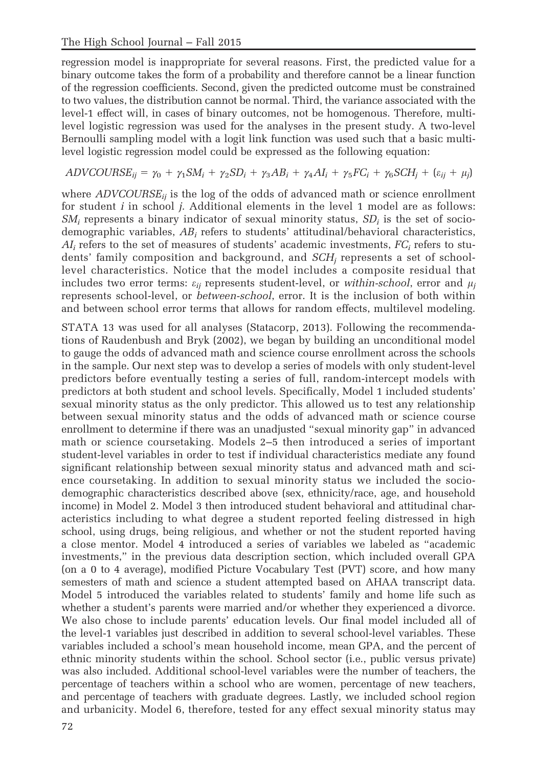regression model is inappropriate for several reasons. First, the predicted value for a binary outcome takes the form of a probability and therefore cannot be a linear function of the regression coefficients. Second, given the predicted outcome must be constrained to two values, the distribution cannot be normal. Third, the variance associated with the level-1 effect will, in cases of binary outcomes, not be homogenous. Therefore, multilevel logistic regression was used for the analyses in the present study. A two-level Bernoulli sampling model with a logit link function was used such that a basic multilevel logistic regression model could be expressed as the following equation:

$$
ADVCOURSE_{ij} = \gamma_0 + \gamma_1 SM_i + \gamma_2 SD_i + \gamma_3 AB_i + \gamma_4 AI_i + \gamma_5 FC_i + \gamma_6 SCH_j + (\varepsilon_{ij} + \mu_j)
$$

where  $ADVCOURSE_{ii}$  is the log of the odds of advanced math or science enrollment for student i in school j. Additional elements in the level 1 model are as follows:  $SM_i$  represents a binary indicator of sexual minority status,  $SD_i$  is the set of sociodemographic variables,  $AB_i$  refers to students' attitudinal/behavioral characteristics,  $AI_i$  refers to the set of measures of students' academic investments,  $FC_i$  refers to students' family composition and background, and  $SCH<sub>i</sub>$  represents a set of schoollevel characteristics. Notice that the model includes a composite residual that includes two error terms:  $\varepsilon_{ii}$  represents student-level, or within-school, error and  $\mu_i$ represents school-level, or between-school, error. It is the inclusion of both within and between school error terms that allows for random effects, multilevel modeling.

STATA 13 was used for all analyses (Statacorp, 2013). Following the recommendations of Raudenbush and Bryk (2002), we began by building an unconditional model to gauge the odds of advanced math and science course enrollment across the schools in the sample. Our next step was to develop a series of models with only student-level predictors before eventually testing a series of full, random-intercept models with predictors at both student and school levels. Specifically, Model 1 included students' sexual minority status as the only predictor. This allowed us to test any relationship between sexual minority status and the odds of advanced math or science course enrollment to determine if there was an unadjusted "sexual minority gap" in advanced math or science coursetaking. Models 2–5 then introduced a series of important student-level variables in order to test if individual characteristics mediate any found significant relationship between sexual minority status and advanced math and science coursetaking. In addition to sexual minority status we included the sociodemographic characteristics described above (sex, ethnicity/race, age, and household income) in Model 2. Model 3 then introduced student behavioral and attitudinal characteristics including to what degree a student reported feeling distressed in high school, using drugs, being religious, and whether or not the student reported having a close mentor. Model 4 introduced a series of variables we labeled as "academic investments," in the previous data description section, which included overall GPA (on a 0 to 4 average), modified Picture Vocabulary Test (PVT) score, and how many semesters of math and science a student attempted based on AHAA transcript data. Model 5 introduced the variables related to students' family and home life such as whether a student's parents were married and/or whether they experienced a divorce. We also chose to include parents' education levels. Our final model included all of the level-1 variables just described in addition to several school-level variables. These variables included a school's mean household income, mean GPA, and the percent of ethnic minority students within the school. School sector (i.e., public versus private) was also included. Additional school-level variables were the number of teachers, the percentage of teachers within a school who are women, percentage of new teachers, and percentage of teachers with graduate degrees. Lastly, we included school region and urbanicity. Model 6, therefore, tested for any effect sexual minority status may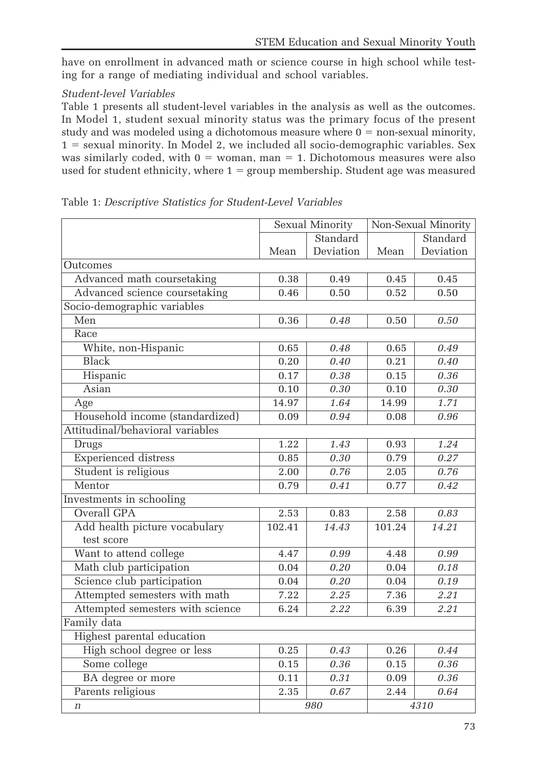have on enrollment in advanced math or science course in high school while testing for a range of mediating individual and school variables.

# Student-level Variables

Table 1 presents all student-level variables in the analysis as well as the outcomes. In Model 1, student sexual minority status was the primary focus of the present study and was modeled using a dichotomous measure where  $0 =$  non-sexual minority,  $1 =$  sexual minority. In Model 2, we included all socio-demographic variables. Sex was similarly coded, with  $0 =$  woman, man = 1. Dichotomous measures were also used for student ethnicity, where  $1 = \text{group membership}$ . Student age was measured

|                                             | Sexual Minority |           | Non-Sexual Minority |           |  |
|---------------------------------------------|-----------------|-----------|---------------------|-----------|--|
|                                             |                 | Standard  |                     | Standard  |  |
|                                             | Mean            | Deviation | Mean                | Deviation |  |
| Outcomes                                    |                 |           |                     |           |  |
| Advanced math coursetaking                  | 0.38            | 0.49      | 0.45                | 0.45      |  |
| Advanced science coursetaking               | 0.46            | 0.50      | 0.52                | 0.50      |  |
| Socio-demographic variables                 |                 |           |                     |           |  |
| Men                                         | 0.36            | 0.48      | 0.50                | 0.50      |  |
| Race                                        |                 |           |                     |           |  |
| White, non-Hispanic                         | 0.65            | 0.48      | 0.65                | 0.49      |  |
| <b>Black</b>                                | 0.20            | 0.40      | 0.21                | 0.40      |  |
| Hispanic                                    | 0.17            | 0.38      | 0.15                | 0.36      |  |
| Asian                                       | 0.10            | 0.30      | 0.10                | 0.30      |  |
| Age                                         | 14.97           | 1.64      | 14.99               | 1.71      |  |
| Household income (standardized)             | 0.09            | 0.94      | 0.08                | 0.96      |  |
| Attitudinal/behavioral variables            |                 |           |                     |           |  |
| <b>Drugs</b>                                | 1.22            | 1.43      | 0.93                | 1.24      |  |
| <b>Experienced</b> distress                 | 0.85            | 0.30      | 0.79                | 0.27      |  |
| Student is religious                        | 2.00            | 0.76      | 2.05                | 0.76      |  |
| Mentor                                      | 0.79            | 0.41      | 0.77                | 0.42      |  |
| Investments in schooling                    |                 |           |                     |           |  |
| Overall GPA                                 | 2.53            | 0.83      | 2.58                | 0.83      |  |
| Add health picture vocabulary<br>test score | 102.41          | 14.43     | 101.24              | 14.21     |  |
| Want to attend college                      | 4.47            | 0.99      | 4.48                | 0.99      |  |
| Math club participation                     | 0.04            | 0.20      | 0.04                | 0.18      |  |
| Science club participation                  | 0.04            | 0.20      | 0.04                | 0.19      |  |
| Attempted semesters with math               | 7.22            | 2.25      | 7.36                | 2.21      |  |
| Attempted semesters with science            | 6.24            | 2.22      | 6.39                | 2.21      |  |
| Family data                                 |                 |           |                     |           |  |
| Highest parental education                  |                 |           |                     |           |  |
| High school degree or less                  | 0.25            | 0.43      | 0.26                | 0.44      |  |
| Some college                                | 0.15            | 0.36      | 0.15                | 0.36      |  |
| BA degree or more                           | 0.11            | 0.31      | 0.09                | 0.36      |  |
| Parents religious                           | 2.35            | 0.67      | 2.44                | 0.64      |  |
| $\boldsymbol{n}$                            |                 | 980       |                     | 4310      |  |

Table 1: Descriptive Statistics for Student-Level Variables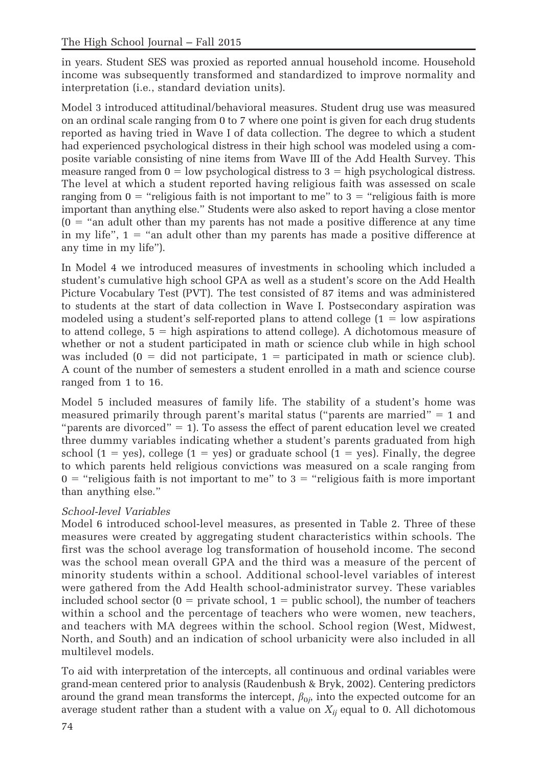in years. Student SES was proxied as reported annual household income. Household income was subsequently transformed and standardized to improve normality and interpretation (i.e., standard deviation units).

Model 3 introduced attitudinal/behavioral measures. Student drug use was measured on an ordinal scale ranging from 0 to 7 where one point is given for each drug students reported as having tried in Wave I of data collection. The degree to which a student had experienced psychological distress in their high school was modeled using a composite variable consisting of nine items from Wave III of the Add Health Survey. This measure ranged from  $0 =$  low psychological distress to  $3 =$  high psychological distress. The level at which a student reported having religious faith was assessed on scale ranging from  $0 =$  "religious faith is not important to me" to  $3 =$  "religious faith is more important than anything else." Students were also asked to report having a close mentor  $(0 =$  "an adult other than my parents has not made a positive difference at any time in my life",  $1 =$  "an adult other than my parents has made a positive difference at any time in my life").

In Model 4 we introduced measures of investments in schooling which included a student's cumulative high school GPA as well as a student's score on the Add Health Picture Vocabulary Test (PVT). The test consisted of 87 items and was administered to students at the start of data collection in Wave I. Postsecondary aspiration was modeled using a student's self-reported plans to attend college  $(1 = low$  aspirations to attend college,  $5 =$  high aspirations to attend college). A dichotomous measure of whether or not a student participated in math or science club while in high school was included ( $0 = did not participate$ ,  $1 =$  participated in math or science club). A count of the number of semesters a student enrolled in a math and science course ranged from 1 to 16.

Model 5 included measures of family life. The stability of a student's home was measured primarily through parent's marital status ("parents are married"  $= 1$  and "parents are divorced"  $= 1$ ). To assess the effect of parent education level we created three dummy variables indicating whether a student's parents graduated from high school (1 = yes), college (1 = yes) or graduate school (1 = yes). Finally, the degree to which parents held religious convictions was measured on a scale ranging from  $0 =$  "religious faith is not important to me" to  $3 =$  "religious faith is more important than anything else."

# School-level Variables

Model 6 introduced school-level measures, as presented in Table 2. Three of these measures were created by aggregating student characteristics within schools. The first was the school average log transformation of household income. The second was the school mean overall GPA and the third was a measure of the percent of minority students within a school. Additional school-level variables of interest were gathered from the Add Health school-administrator survey. These variables included school sector  $(0 =$  private school,  $1 =$  public school), the number of teachers within a school and the percentage of teachers who were women, new teachers, and teachers with MA degrees within the school. School region (West, Midwest, North, and South) and an indication of school urbanicity were also included in all multilevel models.

To aid with interpretation of the intercepts, all continuous and ordinal variables were grand-mean centered prior to analysis (Raudenbush & Bryk, 2002). Centering predictors around the grand mean transforms the intercept,  $\beta_{0j}$ , into the expected outcome for an average student rather than a student with a value on  $X_{ij}$  equal to 0. All dichotomous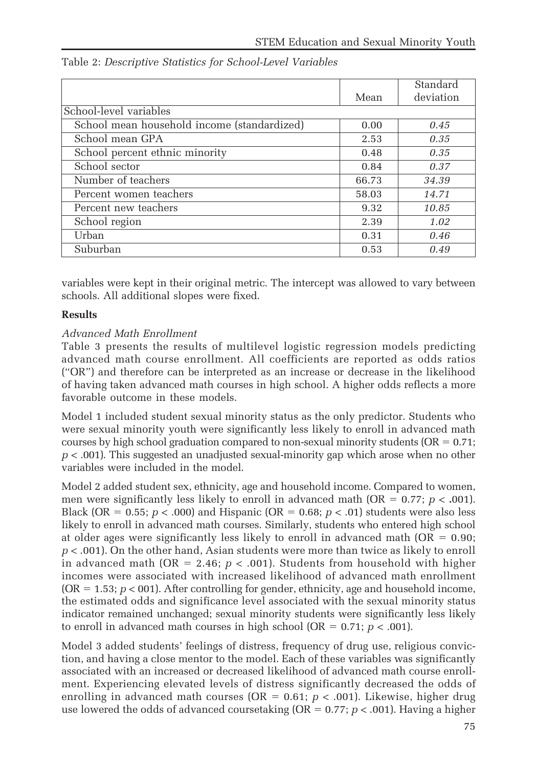|                                             |       | Standard  |
|---------------------------------------------|-------|-----------|
|                                             | Mean  | deviation |
| School-level variables                      |       |           |
| School mean household income (standardized) | 0.00  | 0.45      |
| School mean GPA                             | 2.53  | 0.35      |
| School percent ethnic minority              | 0.48  | 0.35      |
| School sector                               | 0.84  | 0.37      |
| Number of teachers                          | 66.73 | 34.39     |
| Percent women teachers                      | 58.03 | 14.71     |
| Percent new teachers                        | 9.32  | 10.85     |
| School region                               | 2.39  | 1.02      |
| Urban                                       | 0.31  | 0.46      |
| Suburban                                    | 0.53  | 0.49      |

Table 2: Descriptive Statistics for School-Level Variables

variables were kept in their original metric. The intercept was allowed to vary between schools. All additional slopes were fixed.

#### Results

#### Advanced Math Enrollment

Table 3 presents the results of multilevel logistic regression models predicting advanced math course enrollment. All coefficients are reported as odds ratios ("OR") and therefore can be interpreted as an increase or decrease in the likelihood of having taken advanced math courses in high school. A higher odds reflects a more favorable outcome in these models.

Model 1 included student sexual minority status as the only predictor. Students who were sexual minority youth were significantly less likely to enroll in advanced math courses by high school graduation compared to non-sexual minority students ( $OR = 0.71$ ;  $p < .001$ ). This suggested an unadjusted sexual-minority gap which arose when no other variables were included in the model.

Model 2 added student sex, ethnicity, age and household income. Compared to women, men were significantly less likely to enroll in advanced math (OR =  $0.77$ ;  $p < .001$ ). Black (OR = 0.55;  $p < .000$ ) and Hispanic (OR = 0.68;  $p < .01$ ) students were also less likely to enroll in advanced math courses. Similarly, students who entered high school at older ages were significantly less likely to enroll in advanced math  $(OR = 0.90;$  $p < .001$ ). On the other hand, Asian students were more than twice as likely to enroll in advanced math (OR = 2.46;  $p < .001$ ). Students from household with higher incomes were associated with increased likelihood of advanced math enrollment  $(OR = 1.53; p < 001)$ . After controlling for gender, ethnicity, age and household income, the estimated odds and significance level associated with the sexual minority status indicator remained unchanged; sexual minority students were significantly less likely to enroll in advanced math courses in high school (OR =  $0.71$ ;  $p < .001$ ).

Model 3 added students' feelings of distress, frequency of drug use, religious conviction, and having a close mentor to the model. Each of these variables was significantly associated with an increased or decreased likelihood of advanced math course enrollment. Experiencing elevated levels of distress significantly decreased the odds of enrolling in advanced math courses (OR =  $0.61; p < .001$ ). Likewise, higher drug use lowered the odds of advanced coursetaking ( $OR = 0.77$ ;  $p < .001$ ). Having a higher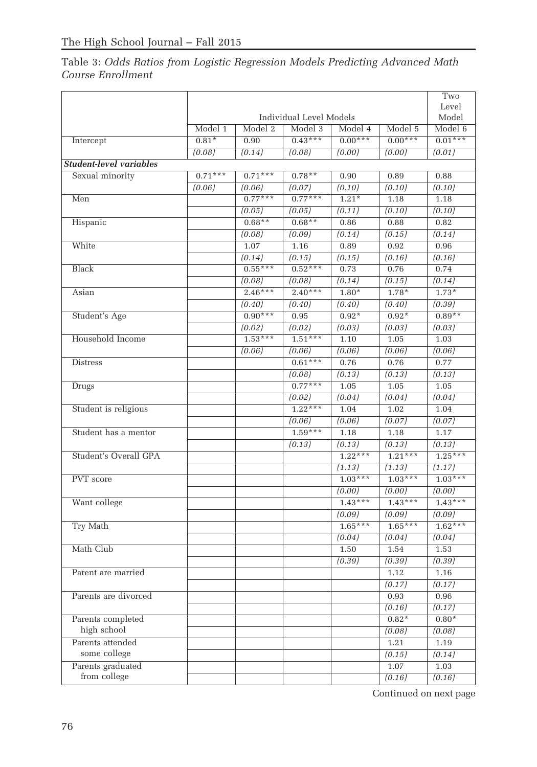# Table 3: Odds Ratios from Logistic Regression Models Predicting Advanced Math Course Enrollment

|                                |           |           |                         |           |           | Two       |
|--------------------------------|-----------|-----------|-------------------------|-----------|-----------|-----------|
|                                |           |           |                         |           |           | Level     |
|                                |           |           | Individual Level Models |           |           | Model     |
|                                | Model 1   | Model 2   | Model 3                 | Model 4   | Model 5   | Model 6   |
| Intercept                      | $0.81*$   | 0.90      | $0.43***$               | $0.00***$ | $0.00***$ | $0.01***$ |
|                                | (0.08)    | (0.14)    | (0.08)                  | (0.00)    | (0.00)    | (0.01)    |
| <b>Student-level variables</b> |           |           |                         |           |           |           |
| Sexual minority                | $0.71***$ | $0.71***$ | $0.78**$                | 0.90      | 0.89      | 0.88      |
|                                | (0.06)    | (0.06)    | (0.07)                  | (0.10)    | (0.10)    | (0.10)    |
| Men                            |           | $0.77***$ | $0.77***$               | $1.21*$   | 1.18      | 1.18      |
|                                |           | (0.05)    | (0.05)                  | (0.11)    | (0.10)    | (0.10)    |
| Hispanic                       |           | $0.68**$  | $0.68**$                | 0.86      | 0.88      | 0.82      |
|                                |           | (0.08)    | (0.09)                  | (0.14)    | (0.15)    | (0.14)    |
| White                          |           | 1.07      | 1.16                    | 0.89      | 0.92      | 0.96      |
|                                |           | (0.14)    | (0.15)                  | (0.15)    | (0.16)    | (0.16)    |
| <b>Black</b>                   |           | $0.55***$ | $0.52***$               | 0.73      | 0.76      | 0.74      |
|                                |           | (0.08)    | (0.08)                  | (0.14)    | (0.15)    | (0.14)    |
| Asian                          |           | $2.46***$ | $2.40***$               | $1.80*$   | $1.78*$   | $1.73*$   |
|                                |           | (0.40)    | (0.40)                  | (0.40)    | (0.40)    | (0.39)    |
| Student's Age                  |           | $0.90***$ | 0.95                    | $0.92*$   | $0.92*$   | $0.89**$  |
|                                |           | (0.02)    | (0.02)                  | (0.03)    | (0.03)    | (0.03)    |
| Household Income               |           | $1.53***$ | $1.51***$               | 1.10      | 1.05      | 1.03      |
|                                |           | (0.06)    | (0.06)                  | (0.06)    | (0.06)    | (0.06)    |
| <b>Distress</b>                |           |           | $0.61***$               | 0.76      | 0.76      | 0.77      |
|                                |           |           | (0.08)                  | (0.13)    | (0.13)    | (0.13)    |
| <b>Drugs</b>                   |           |           | $0.77***$               | 1.05      | 1.05      | 1.05      |
|                                |           |           | (0.02)                  | (0.04)    | (0.04)    | (0.04)    |
| Student is religious           |           |           | $1.22***$               | 1.04      | 1.02      | 1.04      |
|                                |           |           | (0.06)                  | (0.06)    | (0.07)    | (0.07)    |
| Student has a mentor           |           |           | $1.59***$               | 1.18      | 1.18      | 1.17      |
|                                |           |           | (0.13)                  | (0.13)    | (0.13)    | (0.13)    |
| Student's Overall GPA          |           |           |                         | $1.22***$ | $1.21***$ | $1.25***$ |
|                                |           |           |                         | (1.13)    | (1.13)    | (1.17)    |
| PVT score                      |           |           |                         | $1.03***$ | $1.03***$ | $1.03***$ |
|                                |           |           |                         | (0.00)    | (0.00)    | (0.00)    |
| Want college                   |           |           |                         | $1.43***$ | $1.43***$ | $1.43***$ |
|                                |           |           |                         | (0.09)    | (0.09)    | (0.09)    |
| Try Math                       |           |           |                         | $1.65***$ | $1.65***$ | $1.62***$ |
|                                |           |           |                         | (0.04)    | (0.04)    | (0.04)    |
| Math Club                      |           |           |                         | 1.50      | 1.54      | 1.53      |
|                                |           |           |                         | (0.39)    | (0.39)    | (0.39)    |
| Parent are married             |           |           |                         |           | 1.12      | 1.16      |
|                                |           |           |                         |           | (0.17)    | (0.17)    |
| Parents are divorced           |           |           |                         |           | 0.93      | 0.96      |
|                                |           |           |                         |           | (0.16)    | (0.17)    |
| Parents completed              |           |           |                         |           | $0.82*$   | $0.80*$   |
| high school                    |           |           |                         |           | (0.08)    | (0.08)    |
| Parents attended               |           |           |                         |           | 1.21      | 1.19      |
| some college                   |           |           |                         |           | (0.15)    | (0.14)    |
| Parents graduated              |           |           |                         |           | 1.07      | 1.03      |
| from college                   |           |           |                         |           | (0.16)    | (0.16)    |
|                                |           |           |                         |           |           |           |

Continued on next page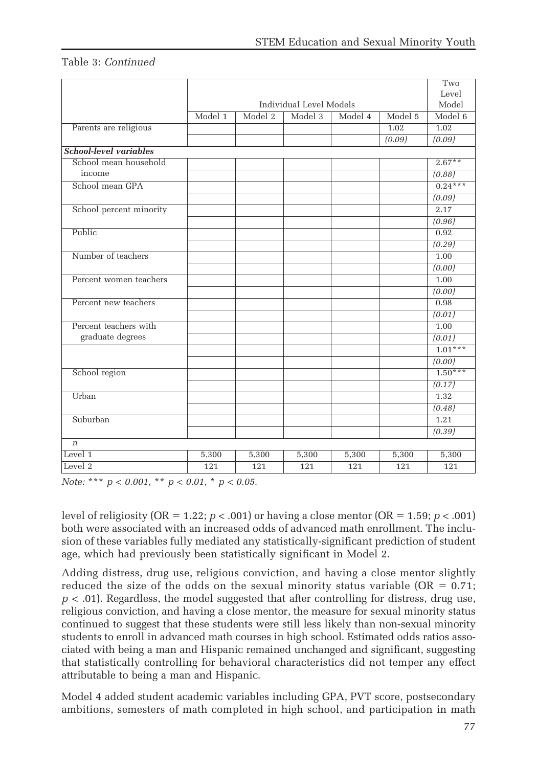## Table 3: Continued

|                               |                         |         |         |         |         | Two       |
|-------------------------------|-------------------------|---------|---------|---------|---------|-----------|
|                               |                         | Level   |         |         |         |           |
|                               | Individual Level Models |         |         |         |         | Model     |
|                               | Model 1                 | Model 2 | Model 3 | Model 4 | Model 5 | Model 6   |
| Parents are religious         |                         |         |         |         | 1.02    | 1.02      |
|                               |                         |         |         |         | (0.09)  | (0.09)    |
| <b>School-level variables</b> |                         |         |         |         |         |           |
| School mean household         |                         |         |         |         |         | $2.67**$  |
| income                        |                         |         |         |         |         | (0.88)    |
| School mean GPA               |                         |         |         |         |         | $0.24***$ |
|                               |                         |         |         |         |         | (0.09)    |
| School percent minority       |                         |         |         |         |         | 2.17      |
|                               |                         |         |         |         |         | (0.96)    |
| Public                        |                         |         |         |         |         | 0.92      |
|                               |                         |         |         |         |         | (0.29)    |
| Number of teachers            |                         |         |         |         |         | 1.00      |
|                               |                         |         |         |         |         | (0.00)    |
| Percent women teachers        |                         |         |         |         |         | 1.00      |
|                               |                         |         |         |         |         | (0.00)    |
| Percent new teachers          |                         |         |         |         |         | 0.98      |
|                               |                         |         |         |         |         | (0.01)    |
| Percent teachers with         |                         |         |         |         |         | 1.00      |
| graduate degrees              |                         |         |         |         |         | (0.01)    |
|                               |                         |         |         |         |         | $1.01***$ |
|                               |                         |         |         |         |         | (0.00)    |
| School region                 |                         |         |         |         |         | $1.50***$ |
|                               |                         |         |         |         |         | (0.17)    |
| Urban                         |                         |         |         |         |         | 1.32      |
|                               |                         |         |         |         |         | (0.48)    |
| Suburban                      |                         |         |         |         |         | 1.21      |
|                               |                         |         |         |         |         | (0.39)    |
| $\boldsymbol{n}$              |                         |         |         |         |         |           |
| Level 1                       | 5,300                   | 5,300   | 5,300   | 5,300   | 5,300   | 5,300     |
| Level 2                       | 121                     | 121     | 121     | 121     | 121     | 121       |

Note: \*\*\*  $p < 0.001$ , \*\*  $p < 0.01$ , \*  $p < 0.05$ .

level of religiosity (OR = 1.22;  $p < .001$ ) or having a close mentor (OR = 1.59;  $p < .001$ ) both were associated with an increased odds of advanced math enrollment. The inclusion of these variables fully mediated any statistically-significant prediction of student age, which had previously been statistically significant in Model 2.

Adding distress, drug use, religious conviction, and having a close mentor slightly reduced the size of the odds on the sexual minority status variable ( $OR = 0.71$ ;  $p < .01$ ). Regardless, the model suggested that after controlling for distress, drug use, religious conviction, and having a close mentor, the measure for sexual minority status continued to suggest that these students were still less likely than non-sexual minority students to enroll in advanced math courses in high school. Estimated odds ratios associated with being a man and Hispanic remained unchanged and significant, suggesting that statistically controlling for behavioral characteristics did not temper any effect attributable to being a man and Hispanic.

Model 4 added student academic variables including GPA, PVT score, postsecondary ambitions, semesters of math completed in high school, and participation in math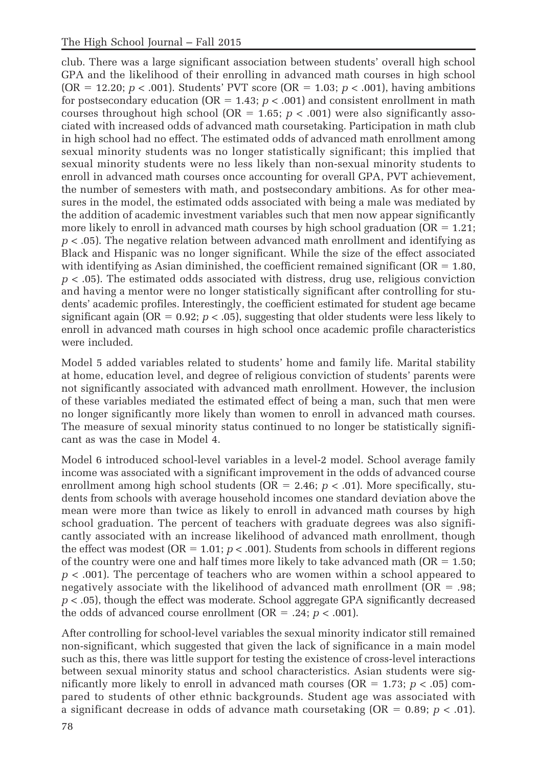club. There was a large significant association between students' overall high school GPA and the likelihood of their enrolling in advanced math courses in high school  $(OR = 12.20; p < .001)$ . Students' PVT score  $(OR = 1.03; p < .001)$ , having ambitions for postsecondary education ( $OR = 1.43$ ;  $p < .001$ ) and consistent enrollment in math courses throughout high school (OR = 1.65;  $p < .001$ ) were also significantly associated with increased odds of advanced math coursetaking. Participation in math club in high school had no effect. The estimated odds of advanced math enrollment among sexual minority students was no longer statistically significant; this implied that sexual minority students were no less likely than non-sexual minority students to enroll in advanced math courses once accounting for overall GPA, PVT achievement, the number of semesters with math, and postsecondary ambitions. As for other measures in the model, the estimated odds associated with being a male was mediated by the addition of academic investment variables such that men now appear significantly more likely to enroll in advanced math courses by high school graduation ( $OR = 1.21$ ;  $p < .05$ ). The negative relation between advanced math enrollment and identifying as Black and Hispanic was no longer significant. While the size of the effect associated with identifying as Asian diminished, the coefficient remained significant ( $OR = 1.80$ ,  $p < .05$ ). The estimated odds associated with distress, drug use, religious conviction and having a mentor were no longer statistically significant after controlling for students' academic profiles. Interestingly, the coefficient estimated for student age became significant again (OR =  $0.92$ ;  $p < .05$ ), suggesting that older students were less likely to enroll in advanced math courses in high school once academic profile characteristics were included.

Model 5 added variables related to students' home and family life. Marital stability at home, education level, and degree of religious conviction of students' parents were not significantly associated with advanced math enrollment. However, the inclusion of these variables mediated the estimated effect of being a man, such that men were no longer significantly more likely than women to enroll in advanced math courses. The measure of sexual minority status continued to no longer be statistically significant as was the case in Model 4.

Model 6 introduced school-level variables in a level-2 model. School average family income was associated with a significant improvement in the odds of advanced course enrollment among high school students (OR = 2.46;  $p < .01$ ). More specifically, students from schools with average household incomes one standard deviation above the mean were more than twice as likely to enroll in advanced math courses by high school graduation. The percent of teachers with graduate degrees was also significantly associated with an increase likelihood of advanced math enrollment, though the effect was modest ( $OR = 1.01$ ;  $p < .001$ ). Students from schools in different regions of the country were one and half times more likely to take advanced math  $(OR = 1.50;$  $p < .001$ ). The percentage of teachers who are women within a school appeared to negatively associate with the likelihood of advanced math enrollment  $(OR = .98)$ ;  $p < .05$ , though the effect was moderate. School aggregate GPA significantly decreased the odds of advanced course enrollment ( $OR = .24$ ;  $p < .001$ ).

After controlling for school-level variables the sexual minority indicator still remained non-significant, which suggested that given the lack of significance in a main model such as this, there was little support for testing the existence of cross-level interactions between sexual minority status and school characteristics. Asian students were significantly more likely to enroll in advanced math courses ( $OR = 1.73$ ;  $p < .05$ ) compared to students of other ethnic backgrounds. Student age was associated with a significant decrease in odds of advance math coursetaking  $(OR = 0.89; p < .01)$ .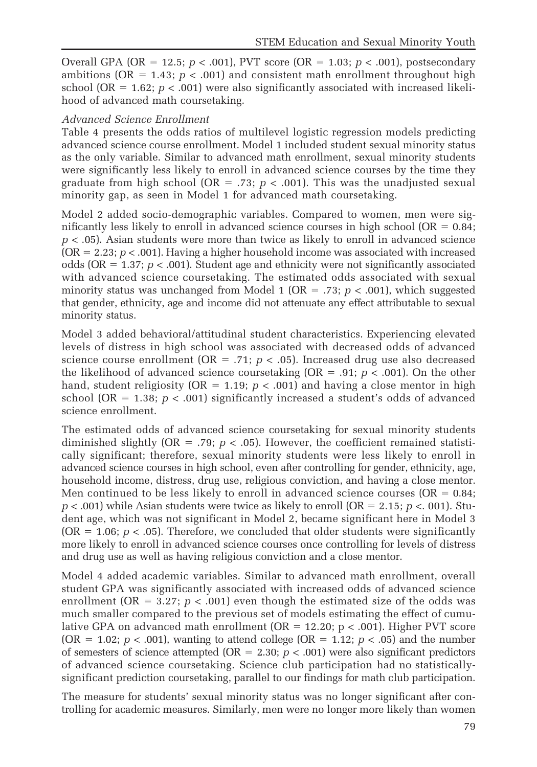Overall GPA (OR = 12.5;  $p < .001$ ), PVT score (OR = 1.03;  $p < .001$ ), postsecondary ambitions ( $OR = 1.43$ ;  $p < .001$ ) and consistent math enrollment throughout high school (OR =  $1.62$ ;  $p < .001$ ) were also significantly associated with increased likelihood of advanced math coursetaking.

## Advanced Science Enrollment

Table 4 presents the odds ratios of multilevel logistic regression models predicting advanced science course enrollment. Model 1 included student sexual minority status as the only variable. Similar to advanced math enrollment, sexual minority students were significantly less likely to enroll in advanced science courses by the time they graduate from high school ( $OR = .73$ ;  $p < .001$ ). This was the unadjusted sexual minority gap, as seen in Model 1 for advanced math coursetaking.

Model 2 added socio-demographic variables. Compared to women, men were significantly less likely to enroll in advanced science courses in high school ( $OR = 0.84$ ;  $p < .05$ ). Asian students were more than twice as likely to enroll in advanced science  $(OR = 2.23; p < .001)$ . Having a higher household income was associated with increased odds (OR =  $1.37; p < .001$ ). Student age and ethnicity were not significantly associated with advanced science coursetaking. The estimated odds associated with sexual minority status was unchanged from Model 1 (OR = .73;  $p < .001$ ), which suggested that gender, ethnicity, age and income did not attenuate any effect attributable to sexual minority status.

Model 3 added behavioral/attitudinal student characteristics. Experiencing elevated levels of distress in high school was associated with decreased odds of advanced science course enrollment (OR = .71;  $p < .05$ ). Increased drug use also decreased the likelihood of advanced science coursetaking  $(OR = .91; p < .001)$ . On the other hand, student religiosity ( $OR = 1.19$ ;  $p < .001$ ) and having a close mentor in high school (OR = 1.38;  $p < .001$ ) significantly increased a student's odds of advanced science enrollment.

The estimated odds of advanced science coursetaking for sexual minority students diminished slightly (OR = .79;  $p < .05$ ). However, the coefficient remained statistically significant; therefore, sexual minority students were less likely to enroll in advanced science courses in high school, even after controlling for gender, ethnicity, age, household income, distress, drug use, religious conviction, and having a close mentor. Men continued to be less likely to enroll in advanced science courses (OR  $= 0.84$ ;  $p < .001$ ) while Asian students were twice as likely to enroll (OR = 2.15; p < 001). Student age, which was not significant in Model 2, became significant here in Model 3 (OR = 1.06;  $p < .05$ ). Therefore, we concluded that older students were significantly more likely to enroll in advanced science courses once controlling for levels of distress and drug use as well as having religious conviction and a close mentor.

Model 4 added academic variables. Similar to advanced math enrollment, overall student GPA was significantly associated with increased odds of advanced science enrollment (OR = 3.27;  $p < .001$ ) even though the estimated size of the odds was much smaller compared to the previous set of models estimating the effect of cumulative GPA on advanced math enrollment ( $OR = 12.20$ ;  $p < .001$ ). Higher PVT score (OR = 1.02;  $p < .001$ ), wanting to attend college (OR = 1.12;  $p < .05$ ) and the number of semesters of science attempted ( $OR = 2.30$ ;  $p < .001$ ) were also significant predictors of advanced science coursetaking. Science club participation had no statisticallysignificant prediction coursetaking, parallel to our findings for math club participation.

The measure for students' sexual minority status was no longer significant after controlling for academic measures. Similarly, men were no longer more likely than women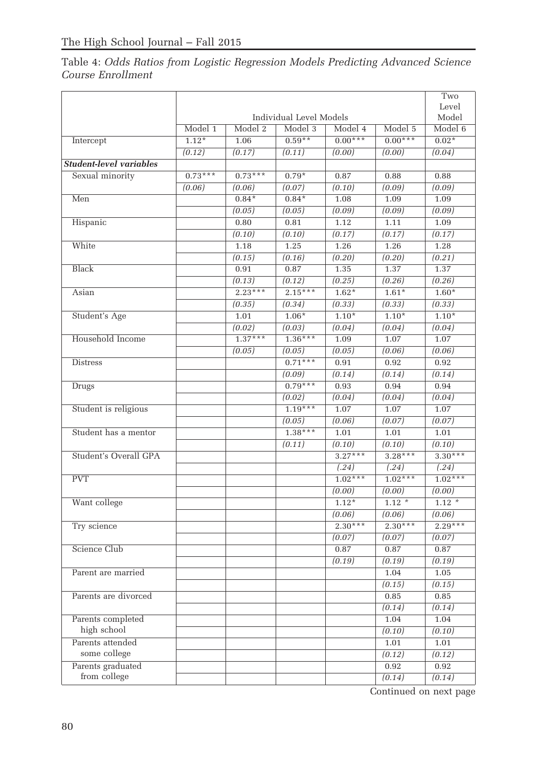Table 4: Odds Ratios from Logistic Regression Models Predicting Advanced Science Course Enrollment

|                                |           |           |                         |           |           | Two                 |
|--------------------------------|-----------|-----------|-------------------------|-----------|-----------|---------------------|
|                                |           |           |                         |           |           | Level               |
|                                |           |           | Individual Level Models |           |           | Model               |
|                                | Model 1   | Model 2   | Model 3                 | Model 4   | Model 5   | Model 6             |
| Intercept                      | $1.12*$   | 1.06      | $0.59**$                | $0.00***$ | $0.00***$ | $0.02*$             |
|                                | (0.12)    | (0.17)    | (0.11)                  | (0.00)    | (0.00)    | $\overline{(0.04)}$ |
| <b>Student-level variables</b> |           |           |                         |           |           |                     |
| Sexual minority                | $0.73***$ | $0.73***$ | $0.79*$                 | 0.87      | 0.88      | 0.88                |
|                                | (0.06)    | (0.06)    | (0.07)                  | (0.10)    | (0.09)    | (0.09)              |
| Men                            |           | $0.84*$   | $0.84*$                 | 1.08      | 1.09      | 1.09                |
|                                |           | (0.05)    | (0.05)                  | (0.09)    | (0.09)    | (0.09)              |
| Hispanic                       |           | 0.80      | 0.81                    | 1.12      | 1.11      | 1.09                |
|                                |           | (0.10)    | (0.10)                  | (0.17)    | (0.17)    | (0.17)              |
| White                          |           | 1.18      | 1.25                    | 1.26      | 1.26      | 1.28                |
|                                |           | (0.15)    | (0.16)                  | (0.20)    | (0.20)    | (0.21)              |
| <b>Black</b>                   |           | 0.91      | 0.87                    | 1.35      | 1.37      | 1.37                |
|                                |           | (0.13)    | (0.12)                  | (0.25)    | (0.26)    | (0.26)              |
| Asian                          |           | $2.23***$ | $2.15***$               | $1.62*$   | $1.61*$   | $1.60*$             |
|                                |           | (0.35)    | (0.34)                  | (0.33)    | (0.33)    | (0.33)              |
| Student's Age                  |           | 1.01      | $1.06*$                 | $1.10*$   | $1.10*$   | $1.10*$             |
|                                |           | (0.02)    | (0.03)                  | (0.04)    | (0.04)    | (0.04)              |
| Household Income               |           | $1.37***$ | $1.36***$               | 1.09      | 1.07      | 1.07                |
|                                |           | (0.05)    | (0.05)                  | (0.05)    | (0.06)    | (0.06)              |
| <b>Distress</b>                |           |           | $0.71***$               | 0.91      | 0.92      | 0.92                |
|                                |           |           | (0.09)                  | (0.14)    | (0.14)    | (0.14)              |
| <b>Drugs</b>                   |           |           | $0.79***$               | 0.93      | 0.94      | 0.94                |
|                                |           |           | (0.02)                  | (0.04)    | (0.04)    | (0.04)              |
| Student is religious           |           |           | $1.19***$               | 1.07      | 1.07      | 1.07                |
|                                |           |           | (0.05)                  | (0.06)    | (0.07)    | (0.07)              |
| Student has a mentor           |           |           | $1.38***$               | 1.01      | 1.01      | 1.01                |
|                                |           |           | (0.11)                  | (0.10)    | (0.10)    | (0.10)              |
| Student's Overall GPA          |           |           |                         | $3.27***$ | $3.28***$ | $3.30***$           |
|                                |           |           |                         | (.24)     | (.24)     | (.24)               |
| <b>PVT</b>                     |           |           |                         | $1.02***$ | $1.02***$ | $1.02***$           |
|                                |           |           |                         | (0.00)    | (0.00)    | (0.00)              |
| Want college                   |           |           |                         | $1.12*$   | $1.12*$   | $1.12*$             |
|                                |           |           |                         | (0.06)    | (0.06)    | (0.06)              |
| Try science                    |           |           |                         | $2.30***$ | $2.30***$ | $2.29***$           |
|                                |           |           |                         | (0.07)    | (0.07)    | (0.07)              |
| Science Club                   |           |           |                         | 0.87      | 0.87      | 0.87                |
|                                |           |           |                         | (0.19)    | (0.19)    | (0.19)              |
| Parent are married             |           |           |                         |           | 1.04      | 1.05                |
|                                |           |           |                         |           | (0.15)    | (0.15)              |
| Parents are divorced           |           |           |                         |           | 0.85      | 0.85                |
|                                |           |           |                         |           | (0.14)    | (0.14)              |
| Parents completed              |           |           |                         |           | 1.04      | 1.04                |
| high school                    |           |           |                         |           | (0.10)    | (0.10)              |
| Parents attended               |           |           |                         |           | 1.01      | 1.01                |
| some college                   |           |           |                         |           | (0.12)    | (0.12)              |
| Parents graduated              |           |           |                         |           | 0.92      | 0.92                |
| from college                   |           |           |                         |           | (0.14)    | (0.14)              |
|                                |           |           |                         |           |           |                     |

Continued on next page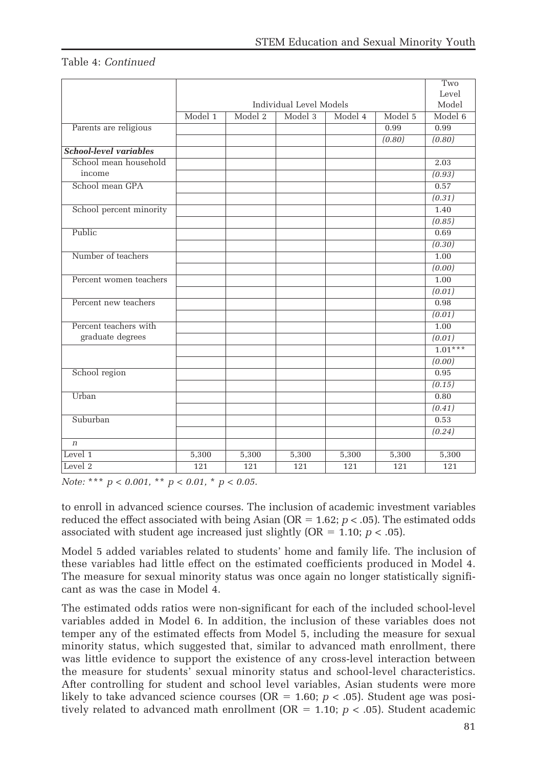### Table 4: Continued

|                               |                         |         |         |         |         | Two       |
|-------------------------------|-------------------------|---------|---------|---------|---------|-----------|
|                               |                         |         |         |         |         | Level     |
|                               | Individual Level Models |         |         |         |         | Model     |
|                               | Model 1                 | Model 2 | Model 3 | Model 4 | Model 5 | Model 6   |
| Parents are religious         |                         |         |         |         | 0.99    | 0.99      |
|                               |                         |         |         |         | (0.80)  | (0.80)    |
| <b>School-level variables</b> |                         |         |         |         |         |           |
| School mean household         |                         |         |         |         |         | 2.03      |
| income                        |                         |         |         |         |         | (0.93)    |
| School mean GPA               |                         |         |         |         |         | 0.57      |
|                               |                         |         |         |         |         | (0.31)    |
| School percent minority       |                         |         |         |         |         | 1.40      |
|                               |                         |         |         |         |         | (0.85)    |
| Public                        |                         |         |         |         |         | 0.69      |
|                               |                         |         |         |         |         | (0.30)    |
| Number of teachers            |                         |         |         |         |         | 1.00      |
|                               |                         |         |         |         |         | (0.00)    |
| Percent women teachers        |                         |         |         |         |         | 1.00      |
|                               |                         |         |         |         |         | (0.01)    |
| Percent new teachers          |                         |         |         |         |         | 0.98      |
|                               |                         |         |         |         |         | (0.01)    |
| Percent teachers with         |                         |         |         |         |         | 1.00      |
| graduate degrees              |                         |         |         |         |         | (0.01)    |
|                               |                         |         |         |         |         | $1.01***$ |
|                               |                         |         |         |         |         | (0.00)    |
| School region                 |                         |         |         |         |         | 0.95      |
|                               |                         |         |         |         |         | (0.15)    |
| Urban                         |                         |         |         |         |         | 0.80      |
|                               |                         |         |         |         |         | (0.41)    |
| Suburban                      |                         |         |         |         |         | 0.53      |
|                               |                         |         |         |         |         | (0.24)    |
| $\boldsymbol{n}$              |                         |         |         |         |         |           |
| Level 1                       | 5,300                   | 5,300   | 5,300   | 5,300   | 5,300   | 5,300     |
| Level 2                       | 121                     | 121     | 121     | 121     | 121     | 121       |

Note: \*\*\*  $p < 0.001$ , \*\*  $p < 0.01$ , \*  $p < 0.05$ .

to enroll in advanced science courses. The inclusion of academic investment variables reduced the effect associated with being Asian ( $OR = 1.62$ ;  $p < .05$ ). The estimated odds associated with student age increased just slightly ( $OR = 1.10$ ;  $p < .05$ ).

Model 5 added variables related to students' home and family life. The inclusion of these variables had little effect on the estimated coefficients produced in Model 4. The measure for sexual minority status was once again no longer statistically significant as was the case in Model 4.

The estimated odds ratios were non-significant for each of the included school-level variables added in Model 6. In addition, the inclusion of these variables does not temper any of the estimated effects from Model 5, including the measure for sexual minority status, which suggested that, similar to advanced math enrollment, there was little evidence to support the existence of any cross-level interaction between the measure for students' sexual minority status and school-level characteristics. After controlling for student and school level variables, Asian students were more likely to take advanced science courses (OR = 1.60;  $p < .05$ ). Student age was positively related to advanced math enrollment (OR = 1.10;  $p < .05$ ). Student academic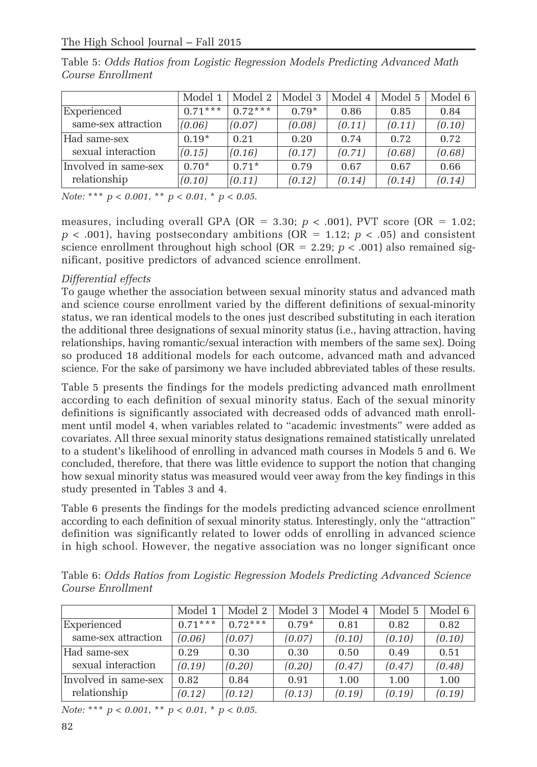|                      | Model 1   | Model 2   | Model 3 | Model 4 | Model 5 | Model 6 |
|----------------------|-----------|-----------|---------|---------|---------|---------|
| Experienced          | $0.71***$ | $0.72***$ | $0.79*$ | 0.86    | 0.85    | 0.84    |
| same-sex attraction  | (0.06)    | (0.07)    | (0.08)  | (0.11)  | (0.11)  | (0.10)  |
| Had same-sex         | $0.19*$   | 0.21      | 0.20    | 0.74    | 0.72    | 0.72    |
| sexual interaction   | (0.15)    | (0.16)    | (0.17)  | (0.71)  | (0.68)  | (0.68)  |
| Involved in same-sex | $0.70*$   | $0.71*$   | 0.79    | 0.67    | 0.67    | 0.66    |
| relationship         | (0.10)    | (0.11)    | (0.12)  | (0.14)  | (0.14)  | (0.14)  |

Table 5: Odds Ratios from Logistic Regression Models Predicting Advanced Math Course Enrollment

Note: \*\*\*  $p < 0.001$ , \*\*  $p < 0.01$ , \*  $p < 0.05$ .

measures, including overall GPA (OR = 3.30;  $p < .001$ ), PVT score (OR = 1.02;  $p < .001$ ), having postsecondary ambitions (OR = 1.12;  $p < .05$ ) and consistent science enrollment throughout high school (OR = 2.29;  $p < .001$ ) also remained significant, positive predictors of advanced science enrollment.

## Differential effects

To gauge whether the association between sexual minority status and advanced math and science course enrollment varied by the different definitions of sexual-minority status, we ran identical models to the ones just described substituting in each iteration the additional three designations of sexual minority status (i.e., having attraction, having relationships, having romantic/sexual interaction with members of the same sex). Doing so produced 18 additional models for each outcome, advanced math and advanced science. For the sake of parsimony we have included abbreviated tables of these results.

Table 5 presents the findings for the models predicting advanced math enrollment according to each definition of sexual minority status. Each of the sexual minority definitions is significantly associated with decreased odds of advanced math enrollment until model 4, when variables related to "academic investments" were added as covariates. All three sexual minority status designations remained statistically unrelated to a student's likelihood of enrolling in advanced math courses in Models 5 and 6. We concluded, therefore, that there was little evidence to support the notion that changing how sexual minority status was measured would veer away from the key findings in this study presented in Tables 3 and 4.

Table 6 presents the findings for the models predicting advanced science enrollment according to each definition of sexual minority status. Interestingly, only the "attraction" definition was significantly related to lower odds of enrolling in advanced science in high school. However, the negative association was no longer significant once

Table 6: Odds Ratios from Logistic Regression Models Predicting Advanced Science Course Enrollment

|                      | Model 1   | Model 2   | Model 3 | Model 4 | Model 5 | Model 6 |
|----------------------|-----------|-----------|---------|---------|---------|---------|
| Experienced          | $0.71***$ | $0.72***$ | $0.79*$ | 0.81    | 0.82    | 0.82    |
| same-sex attraction  | (0.06)    | (0.07)    | (0.07)  | (0.10)  | (0.10)  | (0.10)  |
| Had same-sex         | 0.29      | 0.30      | 0.30    | 0.50    | 0.49    | 0.51    |
| sexual interaction   | (0.19)    | (0.20)    | (0.20)  | (0.47)  | (0.47)  | (0.48)  |
| Involved in same-sex | 0.82      | 0.84      | 0.91    | 1.00    | 1.00    | 1.00    |
| relationship         | (0.12)    | (0.12)    | (0.13)  | (0.19)  | (0.19)  | (0.19)  |

Note: \*\*\*  $p < 0.001$ , \*\*  $p < 0.01$ , \*  $p < 0.05$ .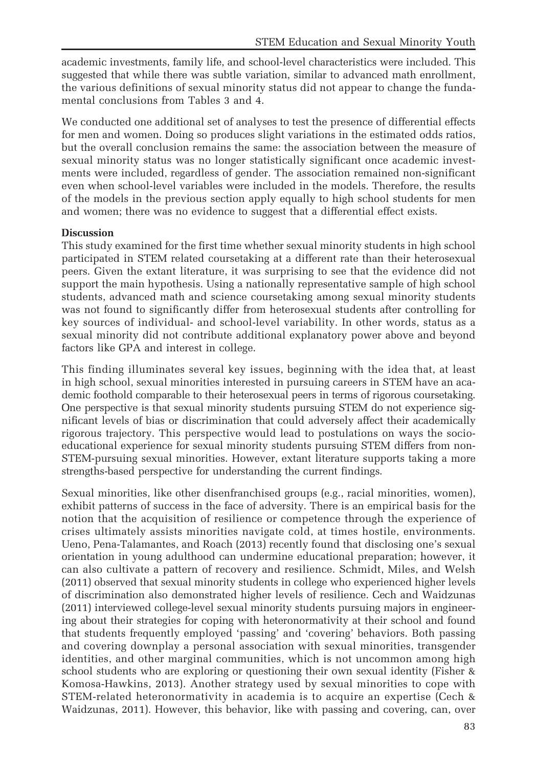academic investments, family life, and school-level characteristics were included. This suggested that while there was subtle variation, similar to advanced math enrollment, the various definitions of sexual minority status did not appear to change the fundamental conclusions from Tables 3 and 4.

We conducted one additional set of analyses to test the presence of differential effects for men and women. Doing so produces slight variations in the estimated odds ratios, but the overall conclusion remains the same: the association between the measure of sexual minority status was no longer statistically significant once academic investments were included, regardless of gender. The association remained non-significant even when school-level variables were included in the models. Therefore, the results of the models in the previous section apply equally to high school students for men and women; there was no evidence to suggest that a differential effect exists.

## **Discussion**

This study examined for the first time whether sexual minority students in high school participated in STEM related coursetaking at a different rate than their heterosexual peers. Given the extant literature, it was surprising to see that the evidence did not support the main hypothesis. Using a nationally representative sample of high school students, advanced math and science coursetaking among sexual minority students was not found to significantly differ from heterosexual students after controlling for key sources of individual- and school-level variability. In other words, status as a sexual minority did not contribute additional explanatory power above and beyond factors like GPA and interest in college.

This finding illuminates several key issues, beginning with the idea that, at least in high school, sexual minorities interested in pursuing careers in STEM have an academic foothold comparable to their heterosexual peers in terms of rigorous coursetaking. One perspective is that sexual minority students pursuing STEM do not experience significant levels of bias or discrimination that could adversely affect their academically rigorous trajectory. This perspective would lead to postulations on ways the socioeducational experience for sexual minority students pursuing STEM differs from non-STEM-pursuing sexual minorities. However, extant literature supports taking a more strengths-based perspective for understanding the current findings.

Sexual minorities, like other disenfranchised groups (e.g., racial minorities, women), exhibit patterns of success in the face of adversity. There is an empirical basis for the notion that the acquisition of resilience or competence through the experience of crises ultimately assists minorities navigate cold, at times hostile, environments. Ueno, Pena-Talamantes, and Roach (2013) recently found that disclosing one's sexual orientation in young adulthood can undermine educational preparation; however, it can also cultivate a pattern of recovery and resilience. Schmidt, Miles, and Welsh (2011) observed that sexual minority students in college who experienced higher levels of discrimination also demonstrated higher levels of resilience. Cech and Waidzunas (2011) interviewed college-level sexual minority students pursuing majors in engineering about their strategies for coping with heteronormativity at their school and found that students frequently employed 'passing' and 'covering' behaviors. Both passing and covering downplay a personal association with sexual minorities, transgender identities, and other marginal communities, which is not uncommon among high school students who are exploring or questioning their own sexual identity (Fisher & Komosa-Hawkins, 2013). Another strategy used by sexual minorities to cope with STEM-related heteronormativity in academia is to acquire an expertise (Cech & Waidzunas, 2011). However, this behavior, like with passing and covering, can, over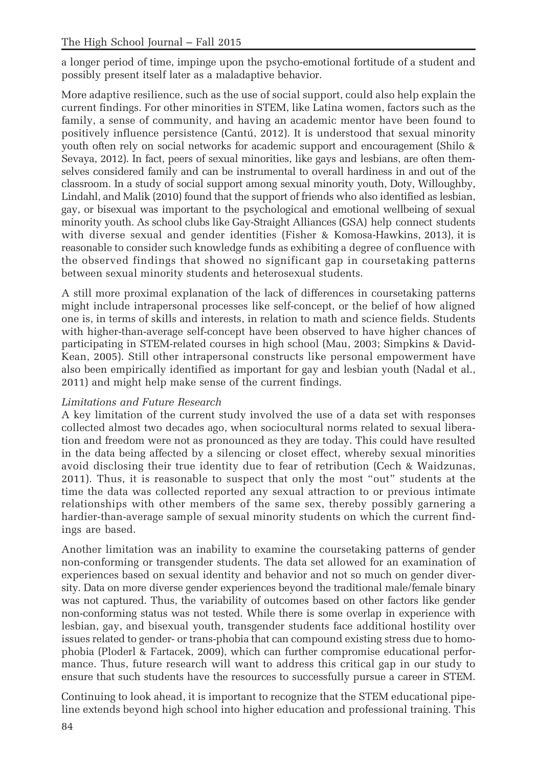a longer period of time, impinge upon the psycho-emotional fortitude of a student and possibly present itself later as a maladaptive behavior.

More adaptive resilience, such as the use of social support, could also help explain the current findings. For other minorities in STEM, like Latina women, factors such as the family, a sense of community, and having an academic mentor have been found to positively influence persistence (Cantú, 2012). It is understood that sexual minority youth often rely on social networks for academic support and encouragement (Shilo & Sevaya, 2012). In fact, peers of sexual minorities, like gays and lesbians, are often themselves considered family and can be instrumental to overall hardiness in and out of the classroom. In a study of social support among sexual minority youth, Doty, Willoughby, Lindahl, and Malik (2010) found that the support of friends who also identified as lesbian, gay, or bisexual was important to the psychological and emotional wellbeing of sexual minority youth. As school clubs like Gay-Straight Alliances (GSA) help connect students with diverse sexual and gender identities (Fisher & Komosa-Hawkins, 2013), it is reasonable to consider such knowledge funds as exhibiting a degree of confluence with the observed findings that showed no significant gap in coursetaking patterns between sexual minority students and heterosexual students.

A still more proximal explanation of the lack of differences in coursetaking patterns might include intrapersonal processes like self-concept, or the belief of how aligned one is, in terms of skills and interests, in relation to math and science fields. Students with higher-than-average self-concept have been observed to have higher chances of participating in STEM-related courses in high school (Mau, 2003; Simpkins & David-Kean, 2005). Still other intrapersonal constructs like personal empowerment have also been empirically identified as important for gay and lesbian youth (Nadal et al., 2011) and might help make sense of the current findings.

# Limitations and Future Research

A key limitation of the current study involved the use of a data set with responses collected almost two decades ago, when sociocultural norms related to sexual liberation and freedom were not as pronounced as they are today. This could have resulted in the data being affected by a silencing or closet effect, whereby sexual minorities avoid disclosing their true identity due to fear of retribution (Cech & Waidzunas, 2011). Thus, it is reasonable to suspect that only the most "out" students at the time the data was collected reported any sexual attraction to or previous intimate relationships with other members of the same sex, thereby possibly garnering a hardier-than-average sample of sexual minority students on which the current findings are based.

Another limitation was an inability to examine the coursetaking patterns of gender non-conforming or transgender students. The data set allowed for an examination of experiences based on sexual identity and behavior and not so much on gender diversity. Data on more diverse gender experiences beyond the traditional male/female binary was not captured. Thus, the variability of outcomes based on other factors like gender non-conforming status was not tested. While there is some overlap in experience with lesbian, gay, and bisexual youth, transgender students face additional hostility over issues related to gender- or trans-phobia that can compound existing stress due to homophobia (Ploderl & Fartacek, 2009), which can further compromise educational performance. Thus, future research will want to address this critical gap in our study to ensure that such students have the resources to successfully pursue a career in STEM.

Continuing to look ahead, it is important to recognize that the STEM educational pipeline extends beyond high school into higher education and professional training. This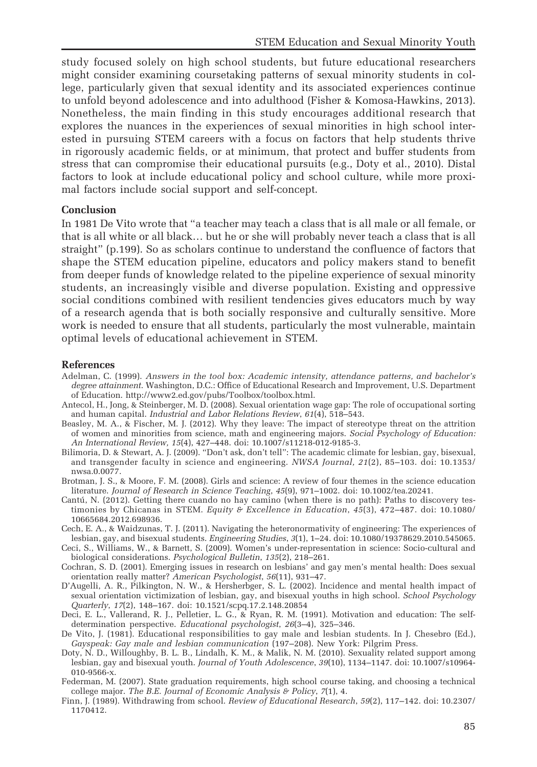study focused solely on high school students, but future educational researchers might consider examining coursetaking patterns of sexual minority students in college, particularly given that sexual identity and its associated experiences continue to unfold beyond adolescence and into adulthood (Fisher & Komosa-Hawkins, 2013). Nonetheless, the main finding in this study encourages additional research that explores the nuances in the experiences of sexual minorities in high school interested in pursuing STEM careers with a focus on factors that help students thrive in rigorously academic fields, or at minimum, that protect and buffer students from stress that can compromise their educational pursuits (e.g., Doty et al., 2010). Distal factors to look at include educational policy and school culture, while more proximal factors include social support and self-concept.

#### **Conclusion**

In 1981 De Vito wrote that "a teacher may teach a class that is all male or all female, or that is all white or all black… but he or she will probably never teach a class that is all straight" (p.199). So as scholars continue to understand the confluence of factors that shape the STEM education pipeline, educators and policy makers stand to benefit from deeper funds of knowledge related to the pipeline experience of sexual minority students, an increasingly visible and diverse population. Existing and oppressive social conditions combined with resilient tendencies gives educators much by way of a research agenda that is both socially responsive and culturally sensitive. More work is needed to ensure that all students, particularly the most vulnerable, maintain optimal levels of educational achievement in STEM.

#### References

- Adelman, C. (1999). Answers in the tool box: Academic intensity, attendance patterns, and bachelor's degree attainment. Washington, D.C.: Office of Educational Research and Improvement, U.S. Department of Education. http://www2.ed.gov/pubs/Toolbox/toolbox.html.
- Antecol, H., Jong, & Steinberger, M. D. (2008). Sexual orientation wage gap: The role of occupational sorting and human capital. Industrial and Labor Relations Review, 61(4), 518–543.
- Beasley, M. A., & Fischer, M. J. (2012). Why they leave: The impact of stereotype threat on the attrition of women and minorities from science, math and engineering majors. Social Psychology of Education: An International Review, 15(4), 427–448. doi: 10.1007/s11218-012-9185-3.
- Bilimoria, D. & Stewart, A. J. (2009). "Don't ask, don't tell": The academic climate for lesbian, gay, bisexual, and transgender faculty in science and engineering. NWSA Journal, 21(2), 85–103. doi: 10.1353/ nwsa.0.0077.
- Brotman, J. S., & Moore, F. M. (2008). Girls and science: A review of four themes in the science education literature. Journal of Research in Science Teaching, 45(9), 971–1002. doi: 10.1002/tea.20241.
- Cantú, N. (2012). Getting there cuando no hay camino (when there is no path): Paths to discovery testimonies by Chicanas in STEM. Equity  $\acute{v}$  Excellence in Education, 45(3), 472–487. doi: 10.1080/ 10665684.2012.698936.
- Cech, E. A., & Waidzunas, T. J. (2011). Navigating the heteronormativity of engineering: The experiences of lesbian, gay, and bisexual students. Engineering Studies, 3(1), 1–24. doi: 10.1080/19378629.2010.545065.
- Ceci, S., Williams, W., & Barnett, S. (2009). Women's under-representation in science: Socio-cultural and biological considerations. Psychological Bulletin, 135(2), 218-261.
- Cochran, S. D. (2001). Emerging issues in research on lesbians' and gay men's mental health: Does sexual orientation really matter? American Psychologist, 56(11), 931–47.
- D'Augelli, A. R., Pilkington, N. W., & Hersherbger, S. L. (2002). Incidence and mental health impact of sexual orientation victimization of lesbian, gay, and bisexual youths in high school. School Psychology Quarterly, 17(2), 148–167. doi: 10.1521/scpq.17.2.148.20854
- Deci, E. L., Vallerand, R. J., Pelletier, L. G., & Ryan, R. M. (1991). Motivation and education: The selfdetermination perspective. Educational psychologist, 26(3–4), 325–346.
- De Vito, J. (1981). Educational responsibilities to gay male and lesbian students. In J. Chesebro (Ed.), Gayspeak: Gay male and lesbian communication (197–208). New York: Pilgrim Press.
- Doty, N. D., Willoughby, B. L. B., Lindalh, K. M., & Malik, N. M. (2010). Sexuality related support among lesbian, gay and bisexual youth. Journal of Youth Adolescence, 39(10), 1134–1147. doi: 10.1007/s10964- 010-9566-x.
- Federman, M. (2007). State graduation requirements, high school course taking, and choosing a technical college major. The B.E. Journal of Economic Analysis & Policy, 7(1), 4.
- Finn, J. (1989). Withdrawing from school. Review of Educational Research, 59(2), 117–142. doi: 10.2307/ 1170412.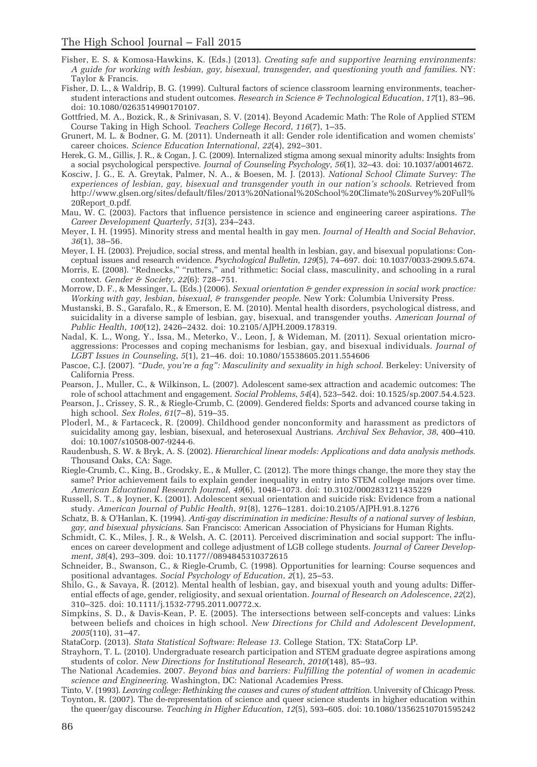- Fisher, E. S. & Komosa-Hawkins, K. (Eds.) (2013). Creating safe and supportive learning environments: A guide for working with lesbian, gay, bisexual, transgender, and questioning youth and families. NY: Taylor & Francis.
- Fisher, D. L., & Waldrip, B. G. (1999). Cultural factors of science classroom learning environments, teacherstudent interactions and student outcomes. Research in Science & Technological Education,  $17(1)$ , 83-96. doi: 10.1080/0263514990170107.
- Gottfried, M. A., Bozick, R., & Srinivasan, S. V. (2014). Beyond Academic Math: The Role of Applied STEM Course Taking in High School. Teachers College Record, 116(7), 1–35.
- Grunert, M. L. & Bodner, G. M. (2011). Underneath it all: Gender role identification and women chemists' career choices. Science Education International, 22(4), 292–301.
- Herek, G. M., Gillis, J. R., & Cogan, J. C. (2009). Internalized stigma among sexual minority adults: Insights from a social psychological perspective. Journal of Counseling Psychology, 56(1), 32–43. doi: 10.1037/a0014672.
- Kosciw, J. G., E. A. Greytak, Palmer, N. A., & Boesen, M. J. (2013). National School Climate Survey: The experiences of lesbian, gay, bisexual and transgender youth in our nation's schools. Retrieved from http://www.glsen.org/sites/default/files/2013%20National%20School%20Climate%20Survey%20Full% 20Report\_0.pdf.
- Mau, W. C. (2003). Factors that influence persistence in science and engineering career aspirations. The Career Development Quarterly, 51(3), 234–243.
- Meyer, I. H. (1995). Minority stress and mental health in gay men. Journal of Health and Social Behavior,  $36(1)$ ,  $38-56$ .
- Meyer, I. H. (2003). Prejudice, social stress, and mental health in lesbian, gay, and bisexual populations: Conceptual issues and research evidence. Psychological Bulletin, 129(5), 74–697. doi: 10.1037/0033-2909.5.674.
- Morris, E. (2008). "Rednecks," "rutters," and 'rithmetic: Social class, masculinity, and schooling in a rural context. Gender & Society, 22(6): 728-751.
- Morrow, D. F., & Messinger, L. (Eds.) (2006). Sexual orientation & gender expression in social work practice: Working with gay, lesbian, bisexual, & transgender people. New York: Columbia University Press.
- Mustanski, B. S., Garafalo, R., & Emerson, E. M. (2010). Mental health disorders, psychological distress, and suicidality in a diverse sample of lesbian, gay, bisexual, and transgender youths. American Journal of Public Health, 100(12), 2426–2432. doi: 10.2105/AJPH.2009.178319.
- Nadal, K. L., Wong, Y., Issa, M., Meterko, V., Leon, J, & Wideman, M. (2011). Sexual orientation microaggressions: Processes and coping mechanisms for lesbian, gay, and bisexual individuals. Journal of LGBT Issues in Counseling, 5(1), 21–46. doi: 10.1080/15538605.2011.554606
- Pascoe, C.J. (2007). "Dude, you're a fag": Masculinity and sexuality in high school. Berkeley: University of California Press.
- Pearson, J., Muller, C., & Wilkinson, L. (2007). Adolescent same-sex attraction and academic outcomes: The role of school attachment and engagement. Social Problems, 54(4), 523–542. doi: 10.1525/sp.2007.54.4.523.
- Pearson, J., Crissey, S. R., & Riegle-Crumb, C. (2009). Gendered fields: Sports and advanced course taking in high school. Sex Roles, 61(7–8), 519–35.
- Ploderl, M., & Fartaceck, R. (2009). Childhood gender nonconformity and harassment as predictors of suicidality among gay, lesbian, bisexual, and heterosexual Austrians. Archival Sex Behavior, 38, 400–410. doi: 10.1007/s10508-007-9244-6.
- Raudenbush, S. W. & Bryk, A. S. (2002). Hierarchical linear models: Applications and data analysis methods. Thousand Oaks, CA: Sage.
- Riegle-Crumb, C., King, B., Grodsky, E., & Muller, C. (2012). The more things change, the more they stay the same? Prior achievement fails to explain gender inequality in entry into STEM college majors over time. American Educational Research Journal, 49(6), 1048–1073. doi: 10.3102/0002831211435229
- Russell, S. T., & Joyner, K. (2001). Adolescent sexual orientation and suicide risk: Evidence from a national study. American Journal of Public Health, 91(8), 1276–1281. doi:10.2105/AJPH.91.8.1276
- Schatz, B. & O'Hanlan, K. (1994). Anti-gay discrimination in medicine: Results of a national survey of lesbian, gay, and bisexual physicians. San Francisco: American Association of Physicians for Human Rights.
- Schmidt, C. K., Miles, J. R., & Welsh, A. C. (2011). Perceived discrimination and social support: The influences on career development and college adjustment of LGB college students. Journal of Career Development, 38(4), 293–309. doi: 10.1177//0894845310372615
- Schneider, B., Swanson, C., & Riegle-Crumb, C. (1998). Opportunities for learning: Course sequences and positional advantages. Social Psychology of Education, 2(1), 25–53.
- Shilo, G., & Savaya, R. (2012). Mental health of lesbian, gay, and bisexual youth and young adults: Differential effects of age, gender, religiosity, and sexual orientation. Journal of Research on Adolescence, 22(2), 310–325. doi: 10.1111/j.1532-7795.2011.00772.x.
- Simpkins, S. D., & Davis-Kean, P. E. (2005). The intersections between self-concepts and values: Links between beliefs and choices in high school. New Directions for Child and Adolescent Development, 2005(110), 31–47.
- StataCorp. (2013). Stata Statistical Software: Release 13. College Station, TX: StataCorp LP.
- Strayhorn, T. L. (2010). Undergraduate research participation and STEM graduate degree aspirations among students of color. New Directions for Institutional Research, 2010(148), 85–93.
- The National Academies. 2007. Beyond bias and barriers: Fulfilling the potential of women in academic science and Engineering. Washington, DC: National Academies Press.

Tinto, V. (1993). Leaving college: Rethinking the causes and cures of student attrition. University of Chicago Press.

Toynton, R. (2007). The de-representation of science and queer science students in higher education within the queer/gay discourse. Teaching in Higher Education, 12(5), 593–605. doi: 10.1080/13562510701595242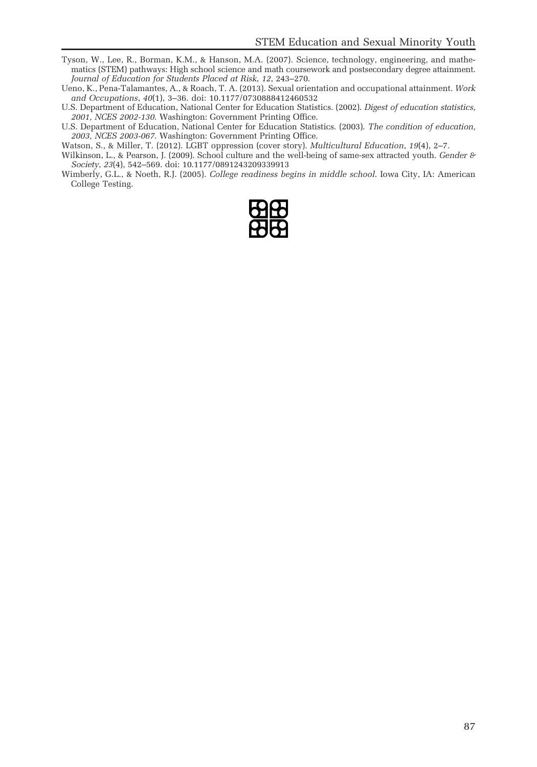- Tyson, W., Lee, R., Borman, K.M., & Hanson, M.A. (2007). Science, technology, engineering, and mathematics (STEM) pathways: High school science and math coursework and postsecondary degree attainment. Journal of Education for Students Placed at Risk, 12, 243–270.
- Ueno, K., Pena-Talamantes, A., & Roach, T. A. (2013). Sexual orientation and occupational attainment. Work and Occupations, 40(1), 3–36. doi: 10.1177/0730888412460532
- U.S. Department of Education, National Center for Education Statistics. (2002). Digest of education statistics, 2001, NCES 2002-130. Washington: Government Printing Office.
- U.S. Department of Education, National Center for Education Statistics. (2003). The condition of education, 2003, NCES 2003-067. Washington: Government Printing Office.
- Watson, S., & Miller, T. (2012). LGBT oppression (cover story). Multicultural Education, 19(4), 2–7.
- Wilkinson, L., & Pearson, J. (2009). School culture and the well-being of same-sex attracted youth. Gender  $\theta$ Society, 23(4), 542–569. doi: 10.1177/0891243209339913
- Wimberly, G.L., & Noeth, R.J. (2005). College readiness begins in middle school. Iowa City, IA: American College Testing.